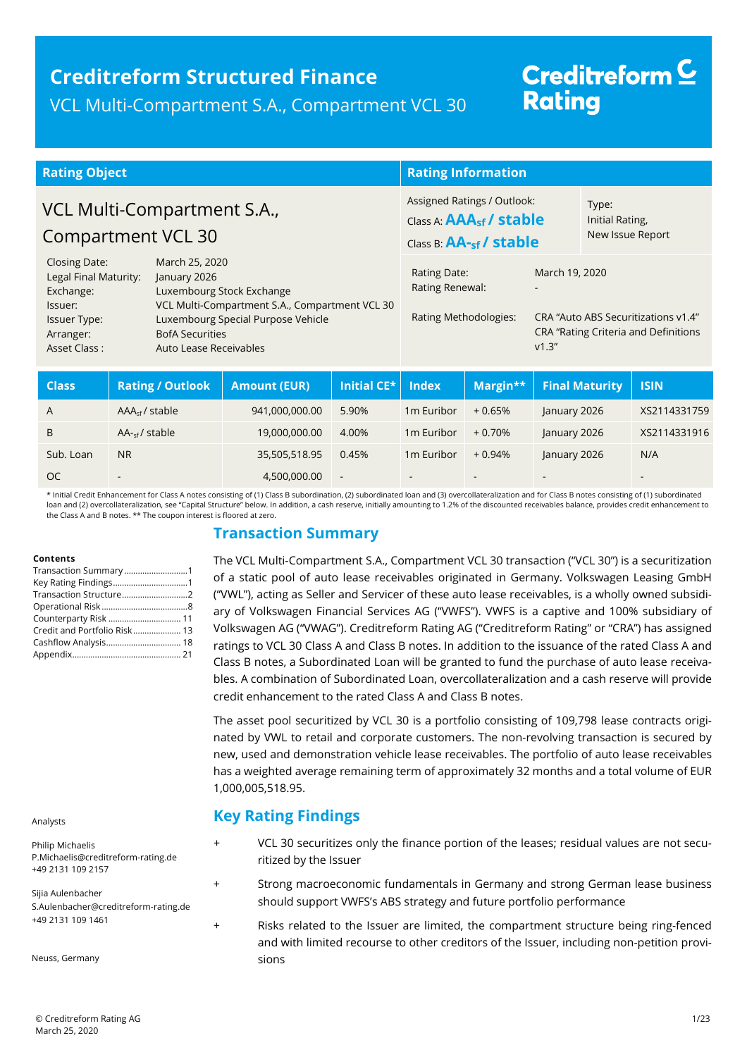## **Creditreform Structured Finance**  VCL Multi-Compartment S.A., Compartment VCL 30

# Creditreform<sup>C</sup> **Rating**

| <b>Rating Object</b>                                 |  |                                                  |                                                                                               | <b>Rating Information</b> |                                              |                       |                                            |                       |                                                                             |
|------------------------------------------------------|--|--------------------------------------------------|-----------------------------------------------------------------------------------------------|---------------------------|----------------------------------------------|-----------------------|--------------------------------------------|-----------------------|-----------------------------------------------------------------------------|
| VCL Multi-Compartment S.A.,<br>Compartment VCL 30    |  |                                                  | Assigned Ratings / Outlook:<br>Class A: AAA <sub>sf</sub> / stable<br>Class B: AA-sf / stable |                           | Type:<br>Initial Rating,<br>New Issue Report |                       |                                            |                       |                                                                             |
| Closing Date:<br>Legal Final Maturity:<br>Exchange:  |  | March 25, 2020<br>January 2026                   | Luxembourg Stock Exchange                                                                     |                           | Rating Date:<br>Rating Renewal:              |                       | March 19, 2020<br>$\overline{\phantom{a}}$ |                       |                                                                             |
| Issuer:<br>Issuer Type:<br>Arranger:<br>Asset Class: |  | <b>BofA Securities</b><br>Auto Lease Receivables | VCL Multi-Compartment S.A., Compartment VCL 30<br>Luxembourg Special Purpose Vehicle          |                           |                                              | Rating Methodologies: | V1.3''                                     |                       | CRA "Auto ABS Securitizations v1.4"<br>CRA "Rating Criteria and Definitions |
| C <sub>2</sub>                                       |  | $Dbin I \bigcap$                                 | Amount (ELID)                                                                                 | InififallCF <sub>k</sub>  | <b>Indov</b>                                 | $M = width$           |                                            | <b>Cinal Maturity</b> | TCIN                                                                        |

| <b>Class</b> | <b>Rating / Outlook</b>  | <b>Amount (EUR)</b> | Initial CE*    | <b>Index</b>           | Margin** | <b>Final Maturity</b> | <b>ISIN</b>              |
|--------------|--------------------------|---------------------|----------------|------------------------|----------|-----------------------|--------------------------|
| A            | $AAAsf$ / stable         | 941,000,000.00      | 5.90%          | 1 <sub>m</sub> Euribor | $+0.65%$ | January 2026          | XS2114331759             |
| B            | $AA_{\text{sf}}/$ stable | 19,000,000.00       | 4.00%          | 1 <sub>m</sub> Euribor | $+0.70%$ | January 2026          | XS2114331916             |
| Sub. Loan    | <b>NR</b>                | 35,505,518.95       | 0.45%          | 1 <sub>m</sub> Euribor | $+0.94%$ | January 2026          | N/A                      |
| <b>OC</b>    |                          | 4,500,000.00        | $\blacksquare$ | $\sim$                 | $\sim$   |                       | $\overline{\phantom{a}}$ |

\* Initial Credit Enhancement for Class A notes consisting of (1) Class B subordination, (2) subordinated loan and (3) overcollateralization and for Class B notes consisting of (1) subordinated loan and (2) overcollateralization, see "Capital Structure" below. In addition, a cash reserve, initially amounting to 1.2% of the discounted receivables balance, provides credit enhancement to the Class A and B notes. \*\* The coupon interest is floored at zero.

## **Transaction Summary**

#### **Contents**

| Transaction Summary 1        |  |
|------------------------------|--|
|                              |  |
| Transaction Structure2       |  |
|                              |  |
| Counterparty Risk  11        |  |
| Credit and Portfolio Risk 13 |  |
|                              |  |
|                              |  |

Analysts

Philip Michaelis P.Michaelis@creditreform-rating.de +49 2131 109 2157

Sijia Aulenbacher S.Aulenbacher@creditreform-rating.de +49 2131 109 1461

Neuss, Germany

The VCL Multi-Compartment S.A., Compartment VCL 30 transaction ("VCL 30") is a securitization of a static pool of auto lease receivables originated in Germany. Volkswagen Leasing GmbH ("VWL"), acting as Seller and Servicer of these auto lease receivables, is a wholly owned subsidiary of Volkswagen Financial Services AG ("VWFS"). VWFS is a captive and 100% subsidiary of Volkswagen AG ("VWAG"). Creditreform Rating AG ("Creditreform Rating" or "CRA") has assigned ratings to VCL 30 Class A and Class B notes. In addition to the issuance of the rated Class A and Class B notes, a Subordinated Loan will be granted to fund the purchase of auto lease receivables. A combination of Subordinated Loan, overcollateralization and a cash reserve will provide credit enhancement to the rated Class A and Class B notes.

The asset pool securitized by VCL 30 is a portfolio consisting of 109,798 lease contracts originated by VWL to retail and corporate customers. The non-revolving transaction is secured by new, used and demonstration vehicle lease receivables. The portfolio of auto lease receivables has a weighted average remaining term of approximately 32 months and a total volume of EUR 1,000,005,518.95.

## **Key Rating Findings**

- VCL 30 securitizes only the finance portion of the leases; residual values are not securitized by the Issuer
- Strong macroeconomic fundamentals in Germany and strong German lease business should support VWFS's ABS strategy and future portfolio performance
- + Risks related to the Issuer are limited, the compartment structure being ring-fenced and with limited recourse to other creditors of the Issuer, including non-petition provisions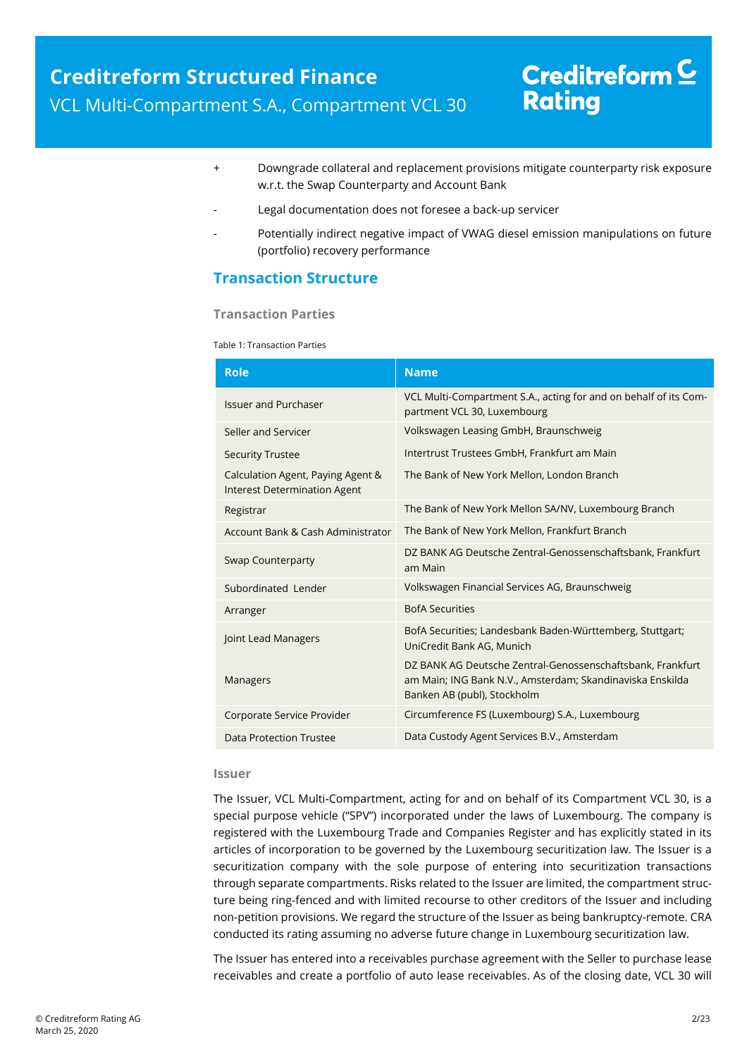- + Downgrade collateral and replacement provisions mitigate counterparty risk exposure w.r.t. the Swap Counterparty and Account Bank
- Legal documentation does not foresee a back-up servicer
- Potentially indirect negative impact of VWAG diesel emission manipulations on future (portfolio) recovery performance

## **Transaction Structure**

#### **Transaction Parties**

Table 1: Transaction Parties

| <b>Role</b>                                                              | <b>Name</b>                                                                                                                                            |  |  |
|--------------------------------------------------------------------------|--------------------------------------------------------------------------------------------------------------------------------------------------------|--|--|
| <b>Issuer and Purchaser</b>                                              | VCL Multi-Compartment S.A., acting for and on behalf of its Com-<br>partment VCL 30, Luxembourg                                                        |  |  |
| Seller and Servicer                                                      | Volkswagen Leasing GmbH, Braunschweig                                                                                                                  |  |  |
| <b>Security Trustee</b>                                                  | Intertrust Trustees GmbH, Frankfurt am Main                                                                                                            |  |  |
| Calculation Agent, Paying Agent &<br><b>Interest Determination Agent</b> | The Bank of New York Mellon, London Branch                                                                                                             |  |  |
| Registrar                                                                | The Bank of New York Mellon SA/NV, Luxembourg Branch                                                                                                   |  |  |
| Account Bank & Cash Administrator                                        | The Bank of New York Mellon, Frankfurt Branch                                                                                                          |  |  |
| Swap Counterparty                                                        | DZ BANK AG Deutsche Zentral-Genossenschaftsbank, Frankfurt<br>am Main                                                                                  |  |  |
| Subordinated Lender                                                      | Volkswagen Financial Services AG, Braunschweig                                                                                                         |  |  |
| Arranger                                                                 | <b>BofA Securities</b>                                                                                                                                 |  |  |
| Joint Lead Managers                                                      | BofA Securities; Landesbank Baden-Württemberg, Stuttgart;<br>UniCredit Bank AG, Munich                                                                 |  |  |
| <b>Managers</b>                                                          | DZ BANK AG Deutsche Zentral-Genossenschaftsbank, Frankfurt<br>am Main; ING Bank N.V., Amsterdam; Skandinaviska Enskilda<br>Banken AB (publ), Stockholm |  |  |
| Corporate Service Provider                                               | Circumference FS (Luxembourg) S.A., Luxembourg                                                                                                         |  |  |
| Data Protection Trustee                                                  | Data Custody Agent Services B.V., Amsterdam                                                                                                            |  |  |

#### **Issuer**

The Issuer, VCL Multi-Compartment, acting for and on behalf of its Compartment VCL 30, is a special purpose vehicle ("SPV") incorporated under the laws of Luxembourg. The company is registered with the Luxembourg Trade and Companies Register and has explicitly stated in its articles of incorporation to be governed by the Luxembourg securitization law. The Issuer is a securitization company with the sole purpose of entering into securitization transactions through separate compartments. Risks related to the Issuer are limited, the compartment structure being ring-fenced and with limited recourse to other creditors of the Issuer and including non-petition provisions. We regard the structure of the Issuer as being bankruptcy-remote. CRA conducted its rating assuming no adverse future change in Luxembourg securitization law.

The Issuer has entered into a receivables purchase agreement with the Seller to purchase lease receivables and create a portfolio of auto lease receivables. As of the closing date, VCL 30 will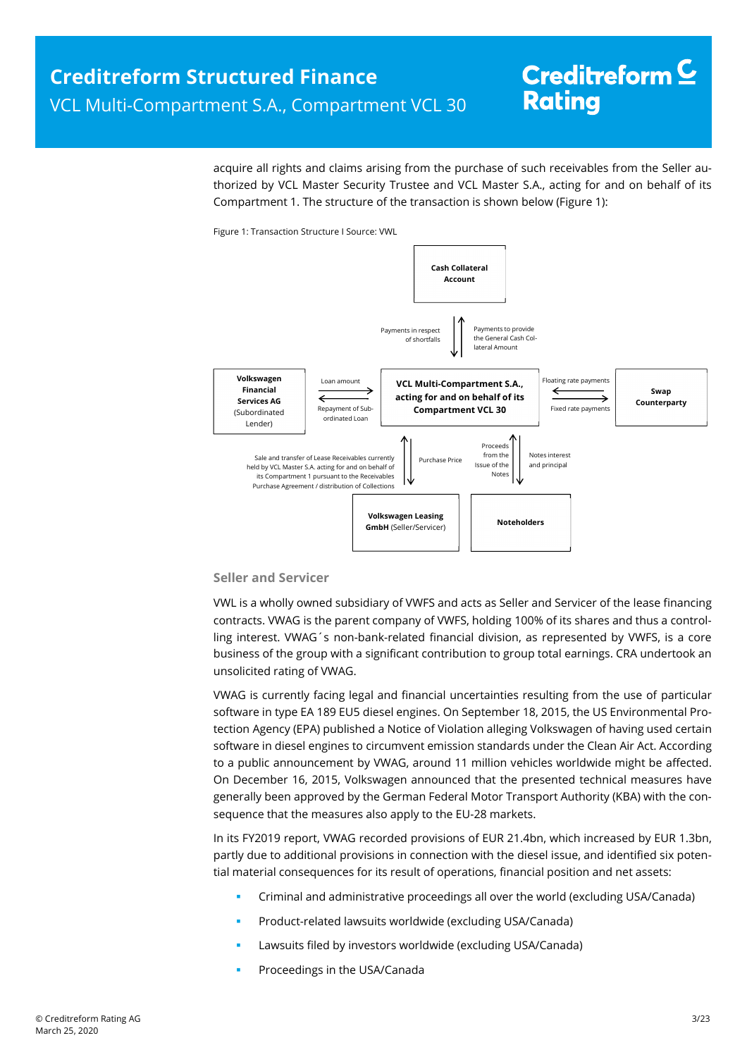acquire all rights and claims arising from the purchase of such receivables from the Seller authorized by VCL Master Security Trustee and VCL Master S.A., acting for and on behalf of its Compartment 1. The structure of the transaction is shown below (Figure 1):

Figure 1: Transaction Structure I Source: VWL



#### **Seller and Servicer**

VWL is a wholly owned subsidiary of VWFS and acts as Seller and Servicer of the lease financing contracts. VWAG is the parent company of VWFS, holding 100% of its shares and thus a controlling interest. VWAG´s non-bank-related financial division, as represented by VWFS, is a core business of the group with a significant contribution to group total earnings. CRA undertook an unsolicited rating of VWAG.

VWAG is currently facing legal and financial uncertainties resulting from the use of particular software in type EA 189 EU5 diesel engines. On September 18, 2015, the US Environmental Protection Agency (EPA) published a Notice of Violation alleging Volkswagen of having used certain software in diesel engines to circumvent emission standards under the Clean Air Act. According to a public announcement by VWAG, around 11 million vehicles worldwide might be affected. On December 16, 2015, Volkswagen announced that the presented technical measures have generally been approved by the German Federal Motor Transport Authority (KBA) with the consequence that the measures also apply to the EU-28 markets.

In its FY2019 report, VWAG recorded provisions of EUR 21.4bn, which increased by EUR 1.3bn, partly due to additional provisions in connection with the diesel issue, and identified six potential material consequences for its result of operations, financial position and net assets:

- Criminal and administrative proceedings all over the world (excluding USA/Canada)
- Product-related lawsuits worldwide (excluding USA/Canada)
- Lawsuits filed by investors worldwide (excluding USA/Canada)
- Proceedings in the USA/Canada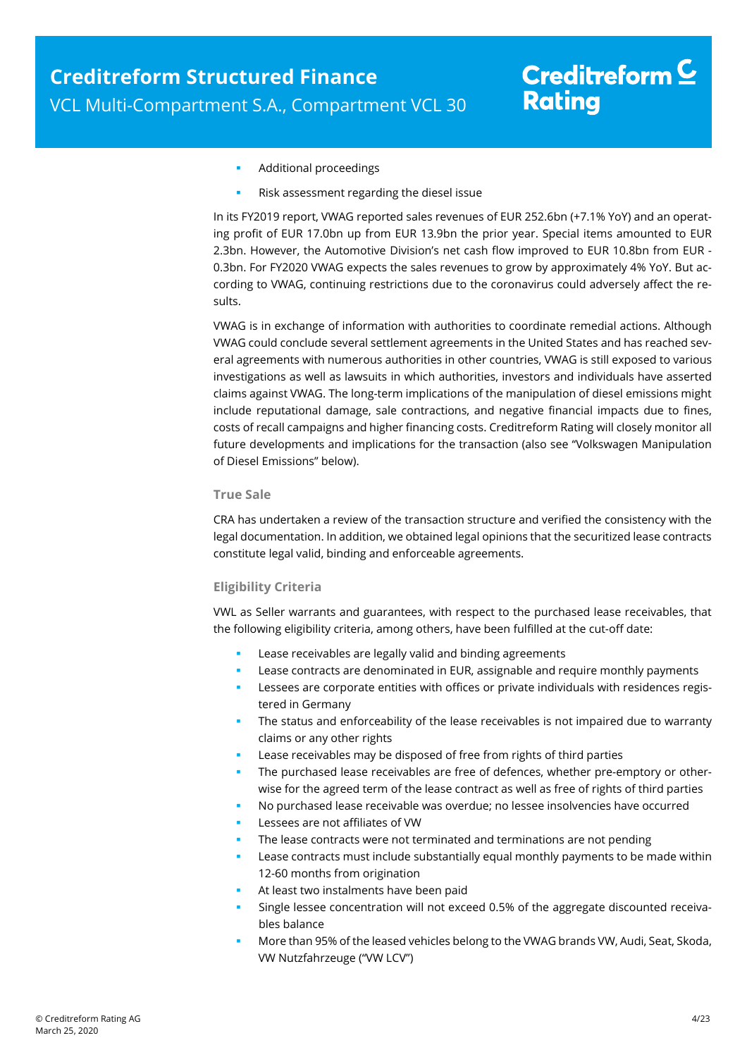- Additional proceedings
- Risk assessment regarding the diesel issue

In its FY2019 report, VWAG reported sales revenues of EUR 252.6bn (+7.1% YoY) and an operating profit of EUR 17.0bn up from EUR 13.9bn the prior year. Special items amounted to EUR 2.3bn. However, the Automotive Division's net cash flow improved to EUR 10.8bn from EUR - 0.3bn. For FY2020 VWAG expects the sales revenues to grow by approximately 4% YoY. But according to VWAG, continuing restrictions due to the coronavirus could adversely affect the results.

VWAG is in exchange of information with authorities to coordinate remedial actions. Although VWAG could conclude several settlement agreements in the United States and has reached several agreements with numerous authorities in other countries, VWAG is still exposed to various investigations as well as lawsuits in which authorities, investors and individuals have asserted claims against VWAG. The long-term implications of the manipulation of diesel emissions might include reputational damage, sale contractions, and negative financial impacts due to fines, costs of recall campaigns and higher financing costs. Creditreform Rating will closely monitor all future developments and implications for the transaction (also see "Volkswagen Manipulation of Diesel Emissions" below).

#### **True Sale**

CRA has undertaken a review of the transaction structure and verified the consistency with the legal documentation. In addition, we obtained legal opinions that the securitized lease contracts constitute legal valid, binding and enforceable agreements.

#### **Eligibility Criteria**

VWL as Seller warrants and guarantees, with respect to the purchased lease receivables, that the following eligibility criteria, among others, have been fulfilled at the cut-off date:

- Lease receivables are legally valid and binding agreements
- Lease contracts are denominated in EUR, assignable and require monthly payments
- Lessees are corporate entities with offices or private individuals with residences registered in Germany
- The status and enforceability of the lease receivables is not impaired due to warranty claims or any other rights
- Lease receivables may be disposed of free from rights of third parties
- The purchased lease receivables are free of defences, whether pre-emptory or otherwise for the agreed term of the lease contract as well as free of rights of third parties
- No purchased lease receivable was overdue; no lessee insolvencies have occurred
- Lessees are not affiliates of VW
- The lease contracts were not terminated and terminations are not pending
- Lease contracts must include substantially equal monthly payments to be made within 12-60 months from origination
- At least two instalments have been paid
- Single lessee concentration will not exceed 0.5% of the aggregate discounted receivables balance
- More than 95% of the leased vehicles belong to the VWAG brands VW, Audi, Seat, Skoda, VW Nutzfahrzeuge ("VW LCV")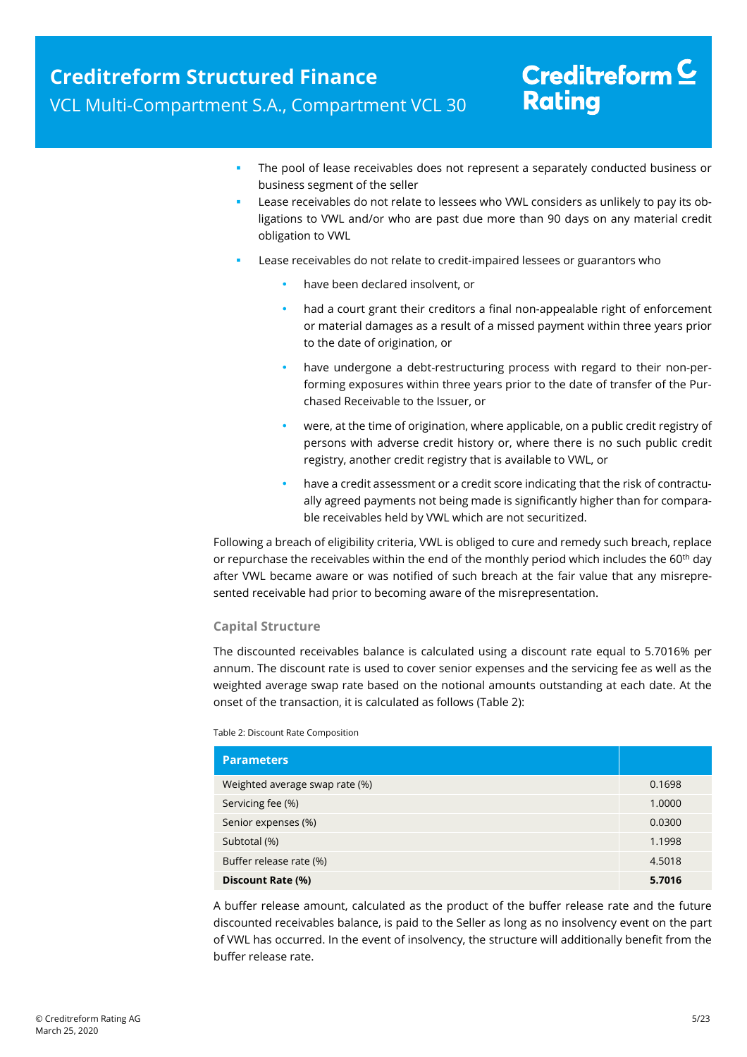- The pool of lease receivables does not represent a separately conducted business or business segment of the seller
- Lease receivables do not relate to lessees who VWL considers as unlikely to pay its obligations to VWL and/or who are past due more than 90 days on any material credit obligation to VWL
- Lease receivables do not relate to credit-impaired lessees or guarantors who
	- have been declared insolvent, or
	- had a court grant their creditors a final non-appealable right of enforcement or material damages as a result of a missed payment within three years prior to the date of origination, or
	- have undergone a debt-restructuring process with regard to their non-performing exposures within three years prior to the date of transfer of the Purchased Receivable to the Issuer, or
	- were, at the time of origination, where applicable, on a public credit registry of persons with adverse credit history or, where there is no such public credit registry, another credit registry that is available to VWL, or
	- have a credit assessment or a credit score indicating that the risk of contractually agreed payments not being made is significantly higher than for comparable receivables held by VWL which are not securitized.

Following a breach of eligibility criteria, VWL is obliged to cure and remedy such breach, replace or repurchase the receivables within the end of the monthly period which includes the  $60<sup>th</sup>$  day after VWL became aware or was notified of such breach at the fair value that any misrepresented receivable had prior to becoming aware of the misrepresentation.

#### **Capital Structure**

The discounted receivables balance is calculated using a discount rate equal to 5.7016% per annum. The discount rate is used to cover senior expenses and the servicing fee as well as the weighted average swap rate based on the notional amounts outstanding at each date. At the onset of the transaction, it is calculated as follows (Table 2):

#### Table 2: Discount Rate Composition

| <b>Parameters</b>              |        |
|--------------------------------|--------|
| Weighted average swap rate (%) | 0.1698 |
| Servicing fee (%)              | 1.0000 |
| Senior expenses (%)            | 0.0300 |
| Subtotal (%)                   | 1.1998 |
| Buffer release rate (%)        | 4.5018 |
| Discount Rate (%)              | 5.7016 |

A buffer release amount, calculated as the product of the buffer release rate and the future discounted receivables balance, is paid to the Seller as long as no insolvency event on the part of VWL has occurred. In the event of insolvency, the structure will additionally benefit from the buffer release rate.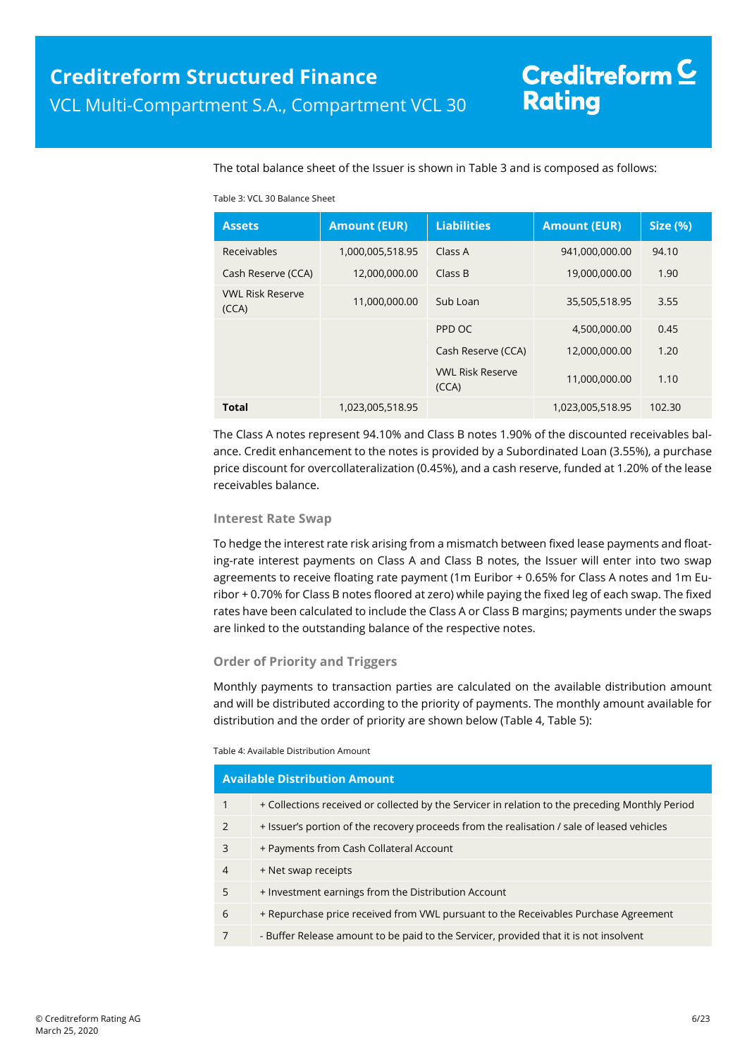The total balance sheet of the Issuer is shown in Table 3 and is composed as follows:

|  | Table 3: VCL 30 Balance Sheet |
|--|-------------------------------|
|--|-------------------------------|

| <b>Assets</b>                    | <b>Amount (EUR)</b> | <b>Liabilities</b>               | <b>Amount (EUR)</b> | <b>Size (%)</b> |
|----------------------------------|---------------------|----------------------------------|---------------------|-----------------|
| Receivables                      | 1,000,005,518.95    | Class A                          | 941,000,000.00      | 94.10           |
| Cash Reserve (CCA)               | 12,000,000.00       | Class B                          | 19,000,000.00       | 1.90            |
| <b>VWL Risk Reserve</b><br>(CCA) | 11,000,000.00       | Sub Loan                         | 35,505,518.95       | 3.55            |
|                                  |                     | PPD OC                           | 4,500,000.00        | 0.45            |
|                                  |                     | Cash Reserve (CCA)               | 12,000,000.00       | 1.20            |
|                                  |                     | <b>VWL Risk Reserve</b><br>(CCA) | 11,000,000.00       | 1.10            |
| Total                            | 1,023,005,518.95    |                                  | 1,023,005,518.95    | 102.30          |

The Class A notes represent 94.10% and Class B notes 1.90% of the discounted receivables balance. Credit enhancement to the notes is provided by a Subordinated Loan (3.55%), a purchase price discount for overcollateralization (0.45%), and a cash reserve, funded at 1.20% of the lease receivables balance.

#### **Interest Rate Swap**

To hedge the interest rate risk arising from a mismatch between fixed lease payments and floating-rate interest payments on Class A and Class B notes, the Issuer will enter into two swap agreements to receive floating rate payment (1m Euribor + 0.65% for Class A notes and 1m Euribor + 0.70% for Class B notes floored at zero) while paying the fixed leg of each swap. The fixed rates have been calculated to include the Class A or Class B margins; payments under the swaps are linked to the outstanding balance of the respective notes.

#### **Order of Priority and Triggers**

Monthly payments to transaction parties are calculated on the available distribution amount and will be distributed according to the priority of payments. The monthly amount available for distribution and the order of priority are shown below (Table 4, Table 5):

#### Table 4: Available Distribution Amount

|                | <b>Available Distribution Amount</b>                                                            |
|----------------|-------------------------------------------------------------------------------------------------|
| 1              | + Collections received or collected by the Servicer in relation to the preceding Monthly Period |
| $\mathcal{P}$  | + Issuer's portion of the recovery proceeds from the realisation / sale of leased vehicles      |
| 3              | + Payments from Cash Collateral Account                                                         |
| $\overline{4}$ | + Net swap receipts                                                                             |
| 5              | + Investment earnings from the Distribution Account                                             |
| 6              | + Repurchase price received from VWL pursuant to the Receivables Purchase Agreement             |
|                | - Buffer Release amount to be paid to the Servicer, provided that it is not insolvent           |
|                |                                                                                                 |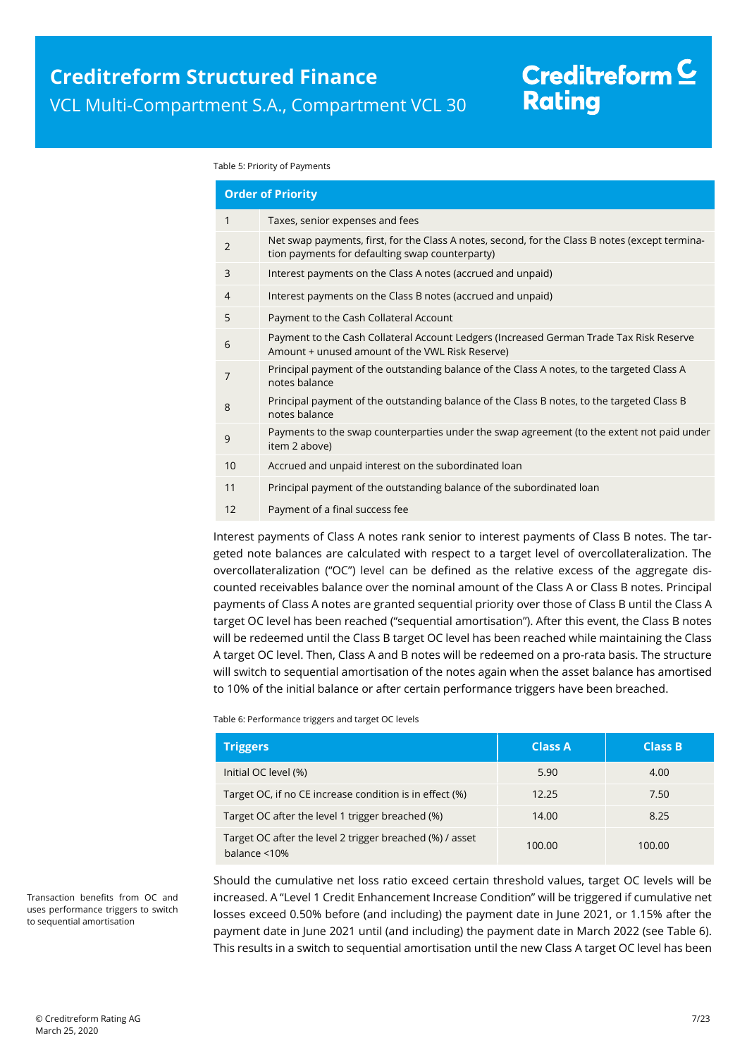# Creditreform  $\underline{\mathsf{C}}$ **Rating**

#### Table 5: Priority of Payments

|                | <b>Order of Priority</b>                                                                                                                           |
|----------------|----------------------------------------------------------------------------------------------------------------------------------------------------|
| 1              | Taxes, senior expenses and fees                                                                                                                    |
| $\overline{2}$ | Net swap payments, first, for the Class A notes, second, for the Class B notes (except termina-<br>tion payments for defaulting swap counterparty) |
| 3              | Interest payments on the Class A notes (accrued and unpaid)                                                                                        |
| 4              | Interest payments on the Class B notes (accrued and unpaid)                                                                                        |
| 5              | Payment to the Cash Collateral Account                                                                                                             |
| 6              | Payment to the Cash Collateral Account Ledgers (Increased German Trade Tax Risk Reserve<br>Amount + unused amount of the VWL Risk Reserve)         |
| 7              | Principal payment of the outstanding balance of the Class A notes, to the targeted Class A<br>notes balance                                        |
| 8              | Principal payment of the outstanding balance of the Class B notes, to the targeted Class B<br>notes balance                                        |
| 9              | Payments to the swap counterparties under the swap agreement (to the extent not paid under<br>item 2 above)                                        |
| 10             | Accrued and unpaid interest on the subordinated loan                                                                                               |
| 11             | Principal payment of the outstanding balance of the subordinated loan                                                                              |
| 12             | Payment of a final success fee                                                                                                                     |
|                |                                                                                                                                                    |

Interest payments of Class A notes rank senior to interest payments of Class B notes. The targeted note balances are calculated with respect to a target level of overcollateralization. The overcollateralization ("OC") level can be defined as the relative excess of the aggregate discounted receivables balance over the nominal amount of the Class A or Class B notes. Principal payments of Class A notes are granted sequential priority over those of Class B until the Class A target OC level has been reached ("sequential amortisation"). After this event, the Class B notes will be redeemed until the Class B target OC level has been reached while maintaining the Class A target OC level. Then, Class A and B notes will be redeemed on a pro-rata basis. The structure will switch to sequential amortisation of the notes again when the asset balance has amortised to 10% of the initial balance or after certain performance triggers have been breached.

Table 6: Performance triggers and target OC levels

| <b>Triggers</b>                                                                 | <b>Class A</b> | <b>Class B</b> |
|---------------------------------------------------------------------------------|----------------|----------------|
| Initial OC level (%)                                                            | 5.90           | 4.00           |
| Target OC, if no CE increase condition is in effect (%)                         | 12.25          | 7.50           |
| Target OC after the level 1 trigger breached (%)                                | 14.00          | 8.25           |
| Target OC after the level 2 trigger breached (%) / asset<br>balance $\leq 10\%$ | 100.00         | 100.00         |

Should the cumulative net loss ratio exceed certain threshold values, target OC levels will be increased. A "Level 1 Credit Enhancement Increase Condition" will be triggered if cumulative net losses exceed 0.50% before (and including) the payment date in June 2021, or 1.15% after the payment date in June 2021 until (and including) the payment date in March 2022 (see Table 6). This results in a switch to sequential amortisation until the new Class A target OC level has been

Transaction benefits from OC and uses performance triggers to switch to sequential amortisation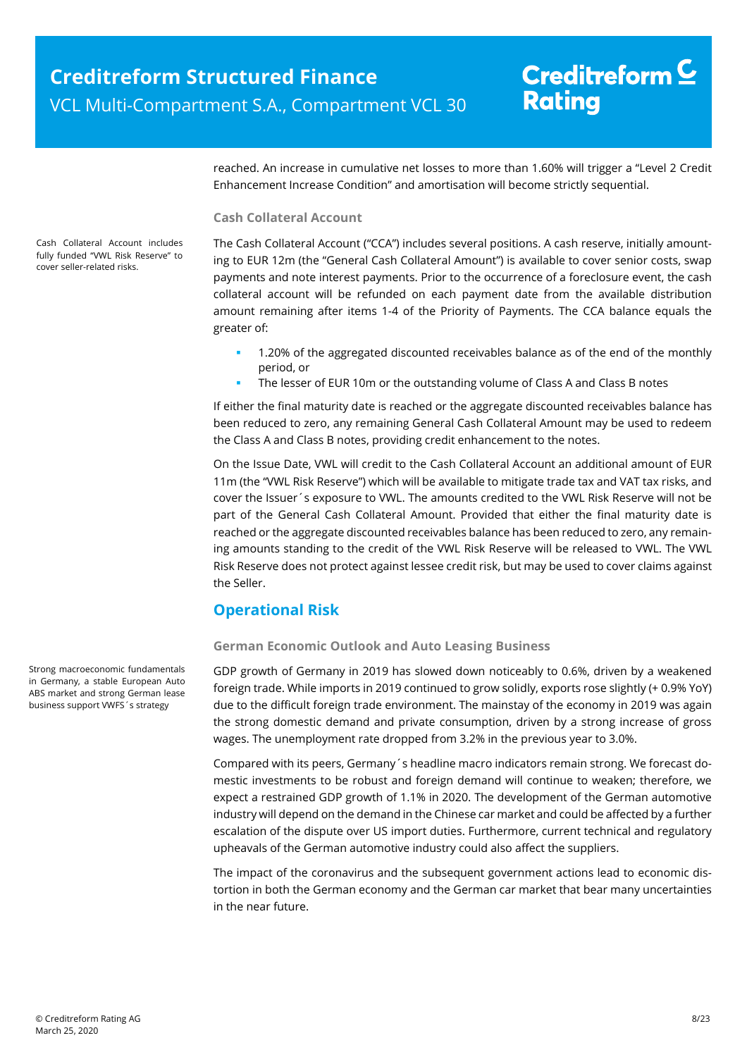# Creditreform  $\underline{\mathsf{C}}$ **Rating**

reached. An increase in cumulative net losses to more than 1.60% will trigger a "Level 2 Credit Enhancement Increase Condition" and amortisation will become strictly sequential.

#### **Cash Collateral Account**

The Cash Collateral Account ("CCA") includes several positions. A cash reserve, initially amounting to EUR 12m (the "General Cash Collateral Amount") is available to cover senior costs, swap payments and note interest payments. Prior to the occurrence of a foreclosure event, the cash collateral account will be refunded on each payment date from the available distribution amount remaining after items 1-4 of the Priority of Payments. The CCA balance equals the greater of:

- 1.20% of the aggregated discounted receivables balance as of the end of the monthly period, or
- The lesser of EUR 10m or the outstanding volume of Class A and Class B notes

If either the final maturity date is reached or the aggregate discounted receivables balance has been reduced to zero, any remaining General Cash Collateral Amount may be used to redeem the Class A and Class B notes, providing credit enhancement to the notes.

On the Issue Date, VWL will credit to the Cash Collateral Account an additional amount of EUR 11m (the "VWL Risk Reserve") which will be available to mitigate trade tax and VAT tax risks, and cover the Issuer´s exposure to VWL. The amounts credited to the VWL Risk Reserve will not be part of the General Cash Collateral Amount. Provided that either the final maturity date is reached or the aggregate discounted receivables balance has been reduced to zero, any remaining amounts standing to the credit of the VWL Risk Reserve will be released to VWL. The VWL Risk Reserve does not protect against lessee credit risk, but may be used to cover claims against the Seller.

## **Operational Risk**

#### **German Economic Outlook and Auto Leasing Business**

GDP growth of Germany in 2019 has slowed down noticeably to 0.6%, driven by a weakened foreign trade. While imports in 2019 continued to grow solidly, exports rose slightly (+ 0.9% YoY) due to the difficult foreign trade environment. The mainstay of the economy in 2019 was again the strong domestic demand and private consumption, driven by a strong increase of gross wages. The unemployment rate dropped from 3.2% in the previous year to 3.0%.

Compared with its peers, Germany´s headline macro indicators remain strong. We forecast domestic investments to be robust and foreign demand will continue to weaken; therefore, we expect a restrained GDP growth of 1.1% in 2020. The development of the German automotive industry will depend on the demand in the Chinese car market and could be affected by a further escalation of the dispute over US import duties. Furthermore, current technical and regulatory upheavals of the German automotive industry could also affect the suppliers.

The impact of the coronavirus and the subsequent government actions lead to economic distortion in both the German economy and the German car market that bear many uncertainties in the near future.

Cash Collateral Account includes fully funded "VWL Risk Reserve" to cover seller-related risks.

Strong macroeconomic fundamentals in Germany, a stable European Auto ABS market and strong German lease business support VWFS´s strategy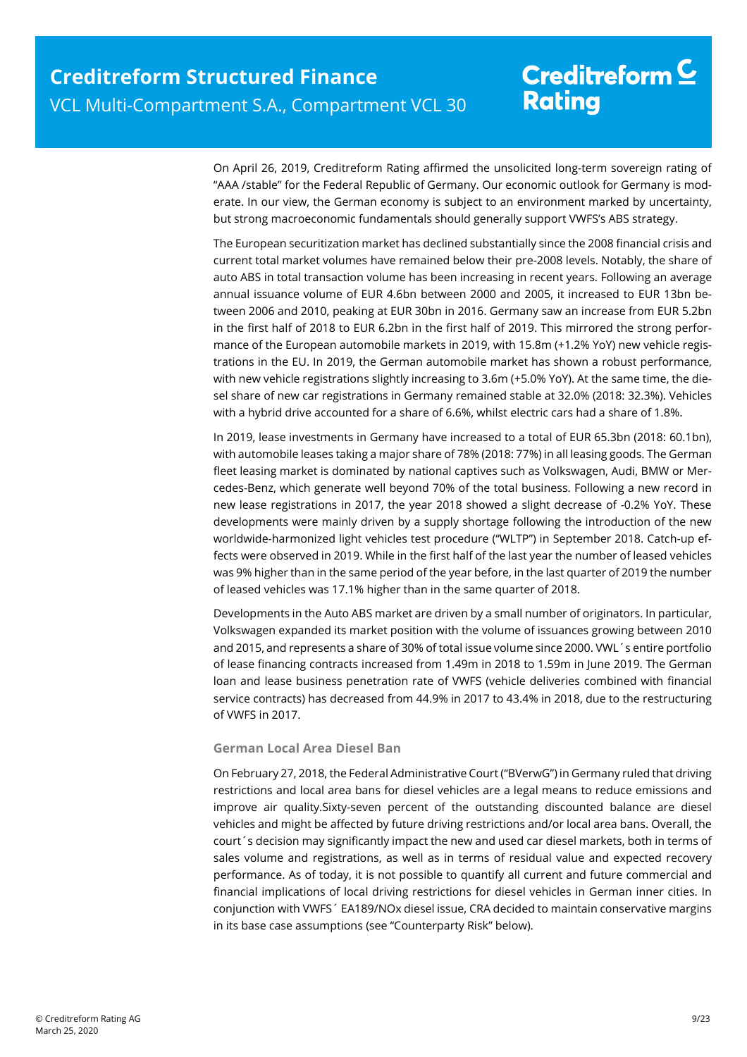On April 26, 2019, Creditreform Rating affirmed the unsolicited long-term sovereign rating of "AAA /stable" for the Federal Republic of Germany. Our economic outlook for Germany is moderate. In our view, the German economy is subject to an environment marked by uncertainty, but strong macroeconomic fundamentals should generally support VWFS's ABS strategy.

The European securitization market has declined substantially since the 2008 financial crisis and current total market volumes have remained below their pre-2008 levels. Notably, the share of auto ABS in total transaction volume has been increasing in recent years. Following an average annual issuance volume of EUR 4.6bn between 2000 and 2005, it increased to EUR 13bn between 2006 and 2010, peaking at EUR 30bn in 2016. Germany saw an increase from EUR 5.2bn in the first half of 2018 to EUR 6.2bn in the first half of 2019. This mirrored the strong performance of the European automobile markets in 2019, with 15.8m (+1.2% YoY) new vehicle registrations in the EU. In 2019, the German automobile market has shown a robust performance, with new vehicle registrations slightly increasing to 3.6m (+5.0% YoY). At the same time, the diesel share of new car registrations in Germany remained stable at 32.0% (2018: 32.3%). Vehicles with a hybrid drive accounted for a share of 6.6%, whilst electric cars had a share of 1.8%.

In 2019, lease investments in Germany have increased to a total of EUR 65.3bn (2018: 60.1bn), with automobile leases taking a major share of 78% (2018: 77%) in all leasing goods. The German fleet leasing market is dominated by national captives such as Volkswagen, Audi, BMW or Mercedes-Benz, which generate well beyond 70% of the total business. Following a new record in new lease registrations in 2017, the year 2018 showed a slight decrease of -0.2% YoY. These developments were mainly driven by a supply shortage following the introduction of the new worldwide-harmonized light vehicles test procedure ("WLTP") in September 2018. Catch-up effects were observed in 2019. While in the first half of the last year the number of leased vehicles was 9% higher than in the same period of the year before, in the last quarter of 2019 the number of leased vehicles was 17.1% higher than in the same quarter of 2018.

Developments in the Auto ABS market are driven by a small number of originators. In particular, Volkswagen expanded its market position with the volume of issuances growing between 2010 and 2015, and represents a share of 30% of total issue volume since 2000. VWL´s entire portfolio of lease financing contracts increased from 1.49m in 2018 to 1.59m in June 2019. The German loan and lease business penetration rate of VWFS (vehicle deliveries combined with financial service contracts) has decreased from 44.9% in 2017 to 43.4% in 2018, due to the restructuring of VWFS in 2017.

#### **German Local Area Diesel Ban**

On February 27, 2018, the Federal Administrative Court ("BVerwG") in Germany ruled that driving restrictions and local area bans for diesel vehicles are a legal means to reduce emissions and improve air quality.Sixty-seven percent of the outstanding discounted balance are diesel vehicles and might be affected by future driving restrictions and/or local area bans. Overall, the court´s decision may significantly impact the new and used car diesel markets, both in terms of sales volume and registrations, as well as in terms of residual value and expected recovery performance. As of today, it is not possible to quantify all current and future commercial and financial implications of local driving restrictions for diesel vehicles in German inner cities. In conjunction with VWFS´ EA189/NOx diesel issue, CRA decided to maintain conservative margins in its base case assumptions (see "Counterparty Risk" below).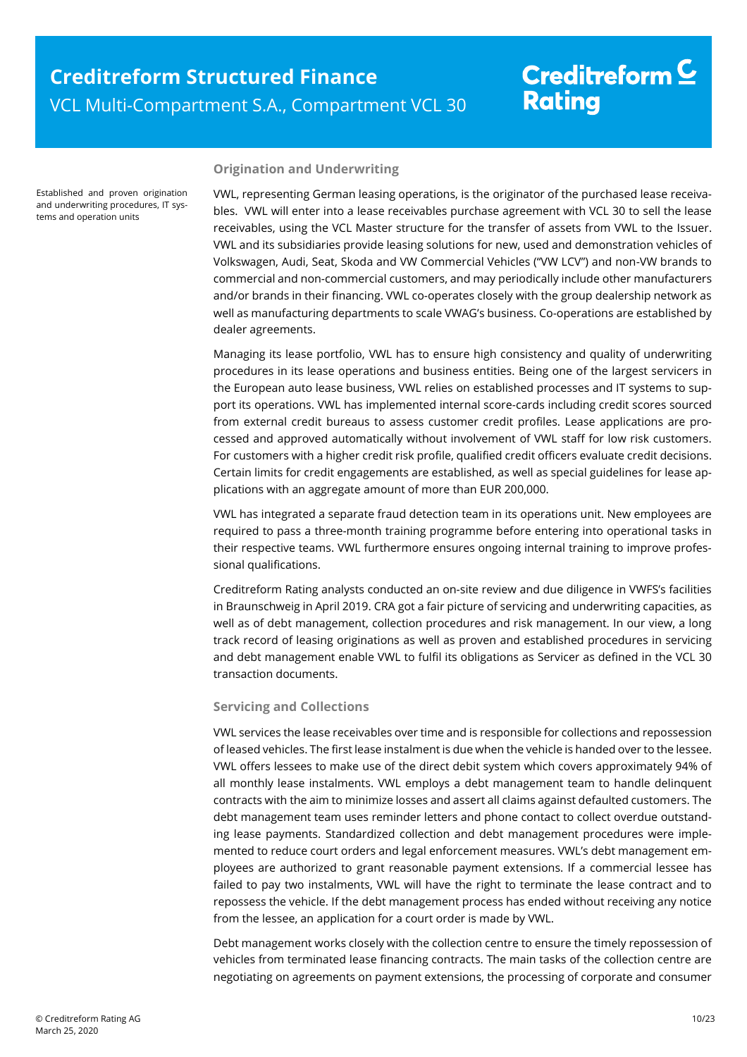Established and proven origination and underwriting procedures, IT systems and operation units

#### **Origination and Underwriting**

VWL, representing German leasing operations, is the originator of the purchased lease receivables. VWL will enter into a lease receivables purchase agreement with VCL 30 to sell the lease receivables, using the VCL Master structure for the transfer of assets from VWL to the Issuer. VWL and its subsidiaries provide leasing solutions for new, used and demonstration vehicles of Volkswagen, Audi, Seat, Skoda and VW Commercial Vehicles ("VW LCV") and non-VW brands to commercial and non-commercial customers, and may periodically include other manufacturers and/or brands in their financing. VWL co-operates closely with the group dealership network as well as manufacturing departments to scale VWAG's business. Co-operations are established by dealer agreements.

Managing its lease portfolio, VWL has to ensure high consistency and quality of underwriting procedures in its lease operations and business entities. Being one of the largest servicers in the European auto lease business, VWL relies on established processes and IT systems to support its operations. VWL has implemented internal score-cards including credit scores sourced from external credit bureaus to assess customer credit profiles. Lease applications are processed and approved automatically without involvement of VWL staff for low risk customers. For customers with a higher credit risk profile, qualified credit officers evaluate credit decisions. Certain limits for credit engagements are established, as well as special guidelines for lease applications with an aggregate amount of more than EUR 200,000.

VWL has integrated a separate fraud detection team in its operations unit. New employees are required to pass a three-month training programme before entering into operational tasks in their respective teams. VWL furthermore ensures ongoing internal training to improve professional qualifications.

Creditreform Rating analysts conducted an on-site review and due diligence in VWFS's facilities in Braunschweig in April 2019. CRA got a fair picture of servicing and underwriting capacities, as well as of debt management, collection procedures and risk management. In our view, a long track record of leasing originations as well as proven and established procedures in servicing and debt management enable VWL to fulfil its obligations as Servicer as defined in the VCL 30 transaction documents.

#### **Servicing and Collections**

VWL services the lease receivables over time and is responsible for collections and repossession of leased vehicles. The first lease instalment is due when the vehicle is handed over to the lessee. VWL offers lessees to make use of the direct debit system which covers approximately 94% of all monthly lease instalments. VWL employs a debt management team to handle delinquent contracts with the aim to minimize losses and assert all claims against defaulted customers. The debt management team uses reminder letters and phone contact to collect overdue outstanding lease payments. Standardized collection and debt management procedures were implemented to reduce court orders and legal enforcement measures. VWL's debt management employees are authorized to grant reasonable payment extensions. If a commercial lessee has failed to pay two instalments, VWL will have the right to terminate the lease contract and to repossess the vehicle. If the debt management process has ended without receiving any notice from the lessee, an application for a court order is made by VWL.

Debt management works closely with the collection centre to ensure the timely repossession of vehicles from terminated lease financing contracts. The main tasks of the collection centre are negotiating on agreements on payment extensions, the processing of corporate and consumer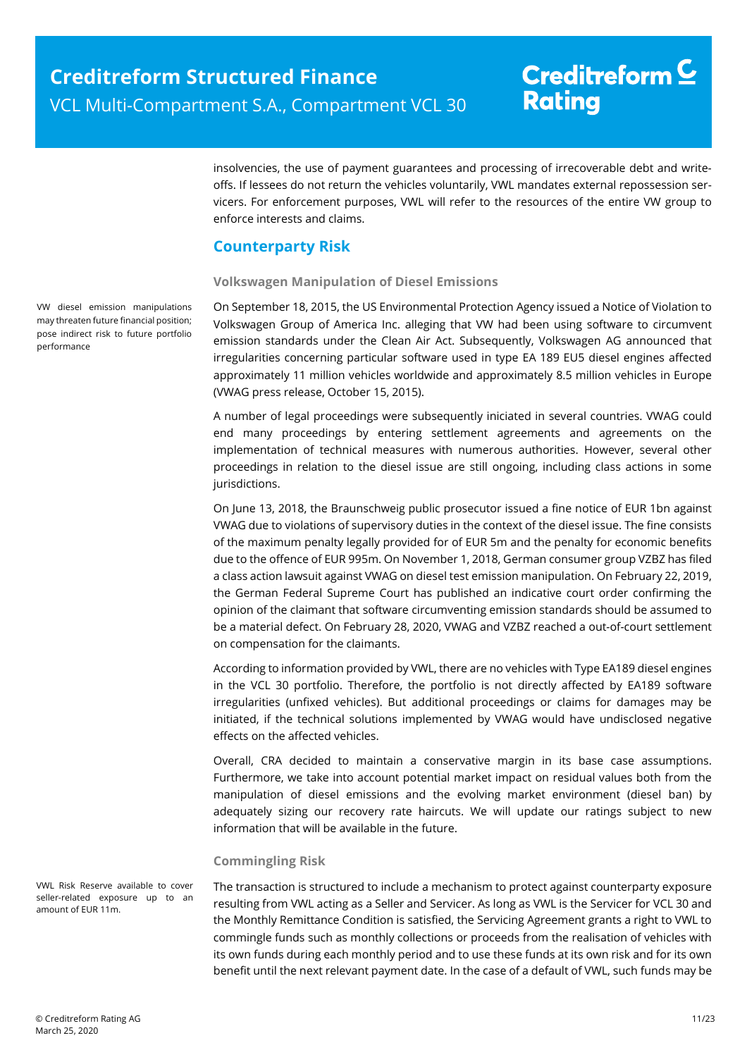# Creditreform  $\underline{\mathsf{C}}$ **Rating**

insolvencies, the use of payment guarantees and processing of irrecoverable debt and writeoffs. If lessees do not return the vehicles voluntarily, VWL mandates external repossession servicers. For enforcement purposes, VWL will refer to the resources of the entire VW group to enforce interests and claims.

## **Counterparty Risk**

#### **Volkswagen Manipulation of Diesel Emissions**

On September 18, 2015, the US Environmental Protection Agency issued a Notice of Violation to Volkswagen Group of America Inc. alleging that VW had been using software to circumvent emission standards under the Clean Air Act. Subsequently, Volkswagen AG announced that irregularities concerning particular software used in type EA 189 EU5 diesel engines affected approximately 11 million vehicles worldwide and approximately 8.5 million vehicles in Europe (VWAG press release, October 15, 2015).

A number of legal proceedings were subsequently iniciated in several countries. VWAG could end many proceedings by entering settlement agreements and agreements on the implementation of technical measures with numerous authorities. However, several other proceedings in relation to the diesel issue are still ongoing, including class actions in some jurisdictions.

On June 13, 2018, the Braunschweig public prosecutor issued a fine notice of EUR 1bn against VWAG due to violations of supervisory duties in the context of the diesel issue. The fine consists of the maximum penalty legally provided for of EUR 5m and the penalty for economic benefits due to the offence of EUR 995m. On November 1, 2018, German consumer group VZBZ has filed a class action lawsuit against VWAG on diesel test emission manipulation. On February 22, 2019, the German Federal Supreme Court has published an indicative court order confirming the opinion of the claimant that software circumventing emission standards should be assumed to be a material defect. On February 28, 2020, VWAG and VZBZ reached a out-of-court settlement on compensation for the claimants.

According to information provided by VWL, there are no vehicles with Type EA189 diesel engines in the VCL 30 portfolio. Therefore, the portfolio is not directly affected by EA189 software irregularities (unfixed vehicles). But additional proceedings or claims for damages may be initiated, if the technical solutions implemented by VWAG would have undisclosed negative effects on the affected vehicles.

Overall, CRA decided to maintain a conservative margin in its base case assumptions. Furthermore, we take into account potential market impact on residual values both from the manipulation of diesel emissions and the evolving market environment (diesel ban) by adequately sizing our recovery rate haircuts. We will update our ratings subject to new information that will be available in the future.

#### **Commingling Risk**

The transaction is structured to include a mechanism to protect against counterparty exposure resulting from VWL acting as a Seller and Servicer. As long as VWL is the Servicer for VCL 30 and the Monthly Remittance Condition is satisfied, the Servicing Agreement grants a right to VWL to commingle funds such as monthly collections or proceeds from the realisation of vehicles with its own funds during each monthly period and to use these funds at its own risk and for its own benefit until the next relevant payment date. In the case of a default of VWL, such funds may be

VW diesel emission manipulations may threaten future financial position; pose indirect risk to future portfolio performance

VWL Risk Reserve available to cover seller-related exposure up to an amount of EUR 11m.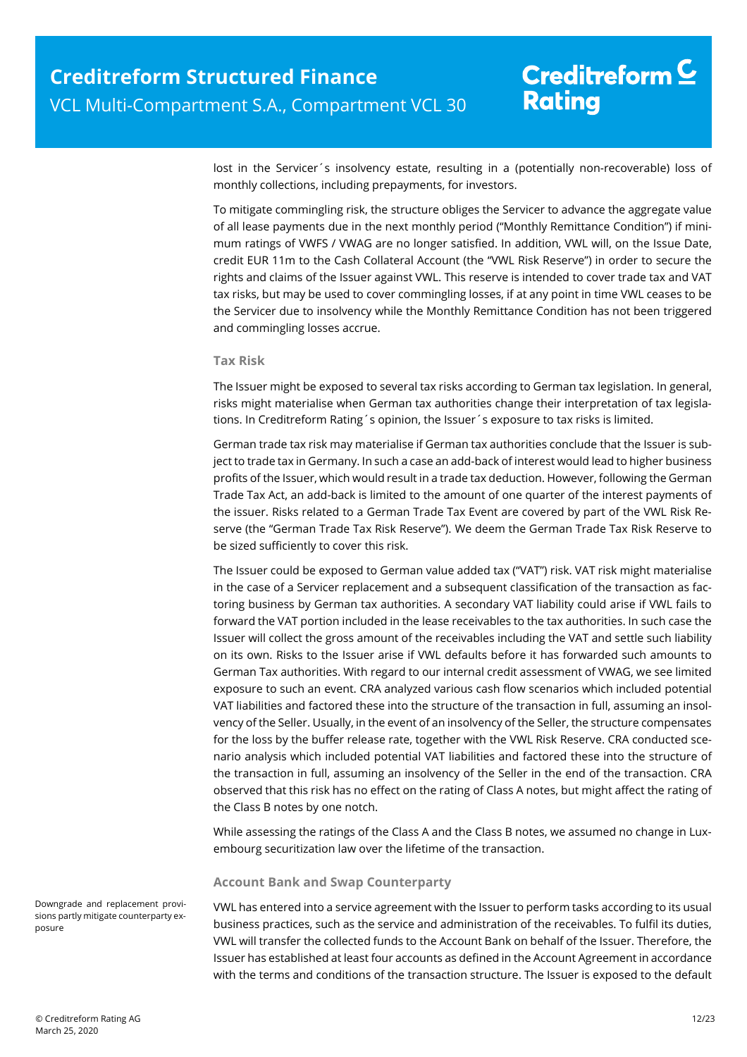lost in the Servicer´s insolvency estate, resulting in a (potentially non-recoverable) loss of monthly collections, including prepayments, for investors.

To mitigate commingling risk, the structure obliges the Servicer to advance the aggregate value of all lease payments due in the next monthly period ("Monthly Remittance Condition") if minimum ratings of VWFS / VWAG are no longer satisfied. In addition, VWL will, on the Issue Date, credit EUR 11m to the Cash Collateral Account (the "VWL Risk Reserve") in order to secure the rights and claims of the Issuer against VWL. This reserve is intended to cover trade tax and VAT tax risks, but may be used to cover commingling losses, if at any point in time VWL ceases to be the Servicer due to insolvency while the Monthly Remittance Condition has not been triggered and commingling losses accrue.

#### **Tax Risk**

The Issuer might be exposed to several tax risks according to German tax legislation. In general, risks might materialise when German tax authorities change their interpretation of tax legislations. In Creditreform Rating´s opinion, the Issuer´s exposure to tax risks is limited.

German trade tax risk may materialise if German tax authorities conclude that the Issuer is subject to trade tax in Germany. In such a case an add-back of interest would lead to higher business profits of the Issuer, which would result in a trade tax deduction. However, following the German Trade Tax Act, an add-back is limited to the amount of one quarter of the interest payments of the issuer. Risks related to a German Trade Tax Event are covered by part of the VWL Risk Reserve (the "German Trade Tax Risk Reserve"). We deem the German Trade Tax Risk Reserve to be sized sufficiently to cover this risk.

The Issuer could be exposed to German value added tax ("VAT") risk. VAT risk might materialise in the case of a Servicer replacement and a subsequent classification of the transaction as factoring business by German tax authorities. A secondary VAT liability could arise if VWL fails to forward the VAT portion included in the lease receivables to the tax authorities. In such case the Issuer will collect the gross amount of the receivables including the VAT and settle such liability on its own. Risks to the Issuer arise if VWL defaults before it has forwarded such amounts to German Tax authorities. With regard to our internal credit assessment of VWAG, we see limited exposure to such an event. CRA analyzed various cash flow scenarios which included potential VAT liabilities and factored these into the structure of the transaction in full, assuming an insolvency of the Seller. Usually, in the event of an insolvency of the Seller, the structure compensates for the loss by the buffer release rate, together with the VWL Risk Reserve. CRA conducted scenario analysis which included potential VAT liabilities and factored these into the structure of the transaction in full, assuming an insolvency of the Seller in the end of the transaction. CRA observed that this risk has no effect on the rating of Class A notes, but might affect the rating of the Class B notes by one notch.

While assessing the ratings of the Class A and the Class B notes, we assumed no change in Luxembourg securitization law over the lifetime of the transaction.

#### **Account Bank and Swap Counterparty**

VWL has entered into a service agreement with the Issuer to perform tasks according to its usual business practices, such as the service and administration of the receivables. To fulfil its duties, VWL will transfer the collected funds to the Account Bank on behalf of the Issuer. Therefore, the Issuer has established at least four accounts as defined in the Account Agreement in accordance with the terms and conditions of the transaction structure. The Issuer is exposed to the default

Downgrade and replacement provisions partly mitigate counterparty exposure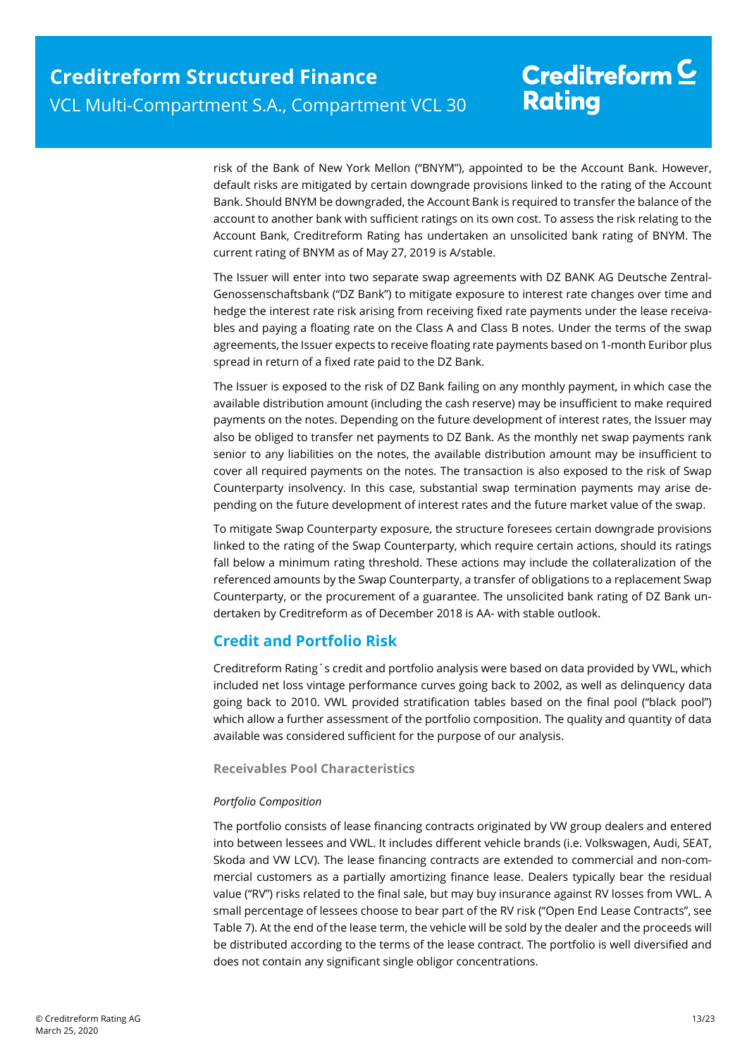risk of the Bank of New York Mellon ("BNYM"), appointed to be the Account Bank. However, default risks are mitigated by certain downgrade provisions linked to the rating of the Account Bank. Should BNYM be downgraded, the Account Bank is required to transfer the balance of the account to another bank with sufficient ratings on its own cost. To assess the risk relating to the Account Bank, Creditreform Rating has undertaken an unsolicited bank rating of BNYM. The current rating of BNYM as of May 27, 2019 is A/stable.

The Issuer will enter into two separate swap agreements with DZ BANK AG Deutsche Zentral-Genossenschaftsbank ("DZ Bank") to mitigate exposure to interest rate changes over time and hedge the interest rate risk arising from receiving fixed rate payments under the lease receivables and paying a floating rate on the Class A and Class B notes. Under the terms of the swap agreements, the Issuer expects to receive floating rate payments based on 1-month Euribor plus spread in return of a fixed rate paid to the DZ Bank.

The Issuer is exposed to the risk of DZ Bank failing on any monthly payment, in which case the available distribution amount (including the cash reserve) may be insufficient to make required payments on the notes. Depending on the future development of interest rates, the Issuer may also be obliged to transfer net payments to DZ Bank. As the monthly net swap payments rank senior to any liabilities on the notes, the available distribution amount may be insufficient to cover all required payments on the notes. The transaction is also exposed to the risk of Swap Counterparty insolvency. In this case, substantial swap termination payments may arise depending on the future development of interest rates and the future market value of the swap.

To mitigate Swap Counterparty exposure, the structure foresees certain downgrade provisions linked to the rating of the Swap Counterparty, which require certain actions, should its ratings fall below a minimum rating threshold. These actions may include the collateralization of the referenced amounts by the Swap Counterparty, a transfer of obligations to a replacement Swap Counterparty, or the procurement of a guarantee. The unsolicited bank rating of DZ Bank undertaken by Creditreform as of December 2018 is AA- with stable outlook.

## **Credit and Portfolio Risk**

Creditreform Rating´s credit and portfolio analysis were based on data provided by VWL, which included net loss vintage performance curves going back to 2002, as well as delinquency data going back to 2010. VWL provided stratification tables based on the final pool ("black pool") which allow a further assessment of the portfolio composition. The quality and quantity of data available was considered sufficient for the purpose of our analysis.

#### **Receivables Pool Characteristics**

### *Portfolio Composition*

The portfolio consists of lease financing contracts originated by VW group dealers and entered into between lessees and VWL. It includes different vehicle brands (i.e. Volkswagen, Audi, SEAT, Skoda and VW LCV). The lease financing contracts are extended to commercial and non-commercial customers as a partially amortizing finance lease. Dealers typically bear the residual value ("RV") risks related to the final sale, but may buy insurance against RV losses from VWL. A small percentage of lessees choose to bear part of the RV risk ("Open End Lease Contracts", see Table 7). At the end of the lease term, the vehicle will be sold by the dealer and the proceeds will be distributed according to the terms of the lease contract. The portfolio is well diversified and does not contain any significant single obligor concentrations.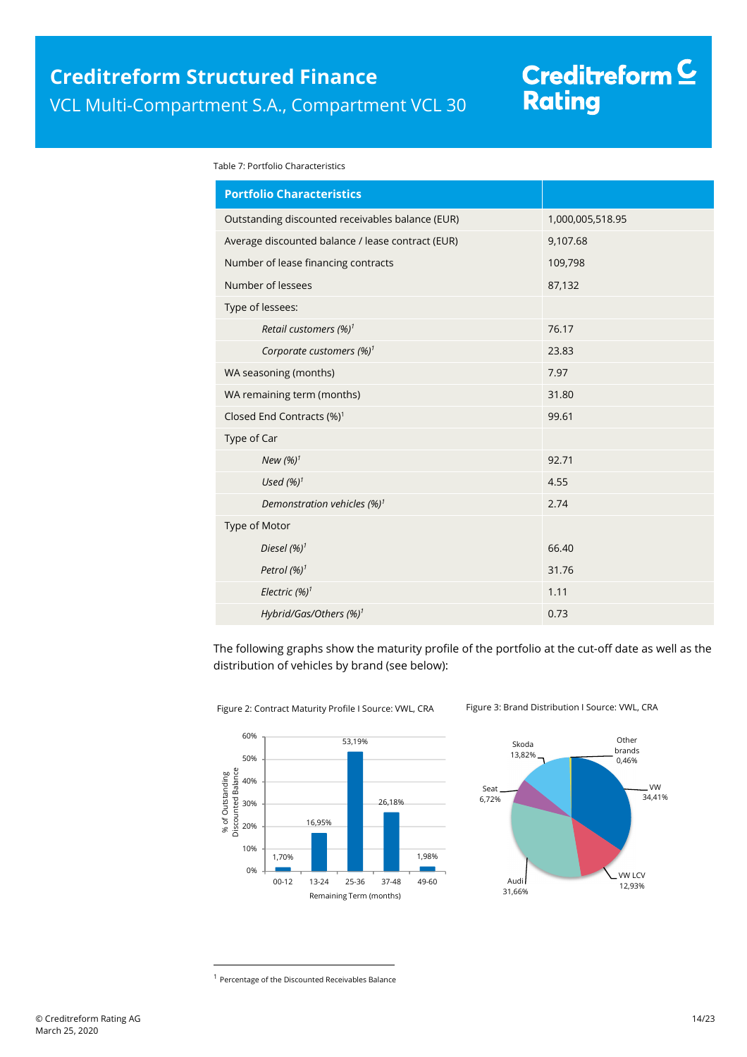# Creditreform <mark>C</mark><br>Rating

Table 7: Portfolio Characteristics

| <b>Portfolio Characteristics</b>                  |                  |
|---------------------------------------------------|------------------|
| Outstanding discounted receivables balance (EUR)  | 1,000,005,518.95 |
| Average discounted balance / lease contract (EUR) | 9,107.68         |
| Number of lease financing contracts               | 109,798          |
| Number of lessees                                 | 87,132           |
| Type of lessees:                                  |                  |
| Retail customers (%) <sup>1</sup>                 | 76.17            |
| Corporate customers $(\%)^1$                      | 23.83            |
| WA seasoning (months)                             | 7.97             |
| WA remaining term (months)                        | 31.80            |
| Closed End Contracts (%) <sup>1</sup>             | 99.61            |
| Type of Car                                       |                  |
| New $(%)1$                                        | 92.71            |
| Used $(%)1$                                       | 4.55             |
| Demonstration vehicles (%) <sup>1</sup>           | 2.74             |
| Type of Motor                                     |                  |
| Diesel $(%)^1$                                    | 66.40            |
| Petrol $(%)^1$                                    | 31.76            |
| Electric $(%)1$                                   | 1.11             |
| Hybrid/Gas/Others (%) <sup>1</sup>                | 0.73             |

The following graphs show the maturity profile of the portfolio at the cut-off date as well as the distribution of vehicles by brand (see below):





Figure 2: Contract Maturity Profile I Source: VWL, CRA Figure 3: Brand Distribution I Source: VWL, CRA

l

<sup>&</sup>lt;sup>1</sup> Percentage of the Discounted Receivables Balance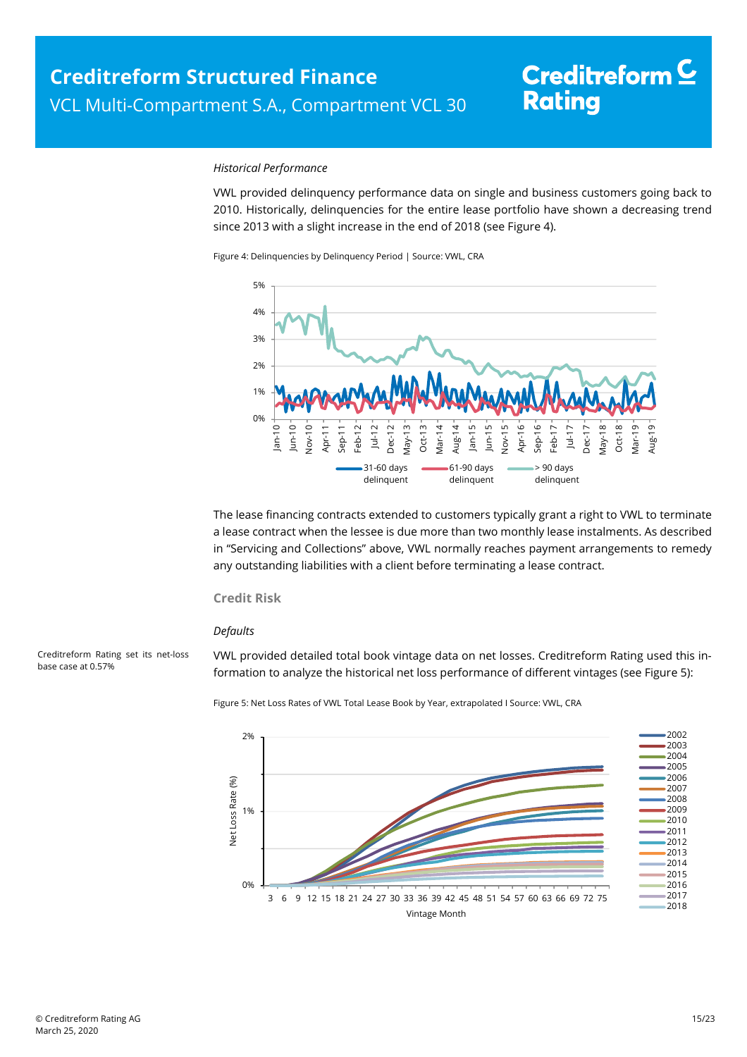#### *Historical Performance*

VWL provided delinquency performance data on single and business customers going back to 2010. Historically, delinquencies for the entire lease portfolio have shown a decreasing trend since 2013 with a slight increase in the end of 2018 (see Figure 4).

Figure 4: Delinquencies by Delinquency Period | Source: VWL, CRA



The lease financing contracts extended to customers typically grant a right to VWL to terminate a lease contract when the lessee is due more than two monthly lease instalments. As described in "Servicing and Collections" above, VWL normally reaches payment arrangements to remedy any outstanding liabilities with a client before terminating a lease contract.

#### **Credit Risk**

#### *Defaults*

Creditreform Rating set its net-loss base case at 0.57%

VWL provided detailed total book vintage data on net losses. Creditreform Rating used this information to analyze the historical net loss performance of different vintages (see Figure 5):

Figure 5: Net Loss Rates of VWL Total Lease Book by Year, extrapolated I Source: VWL, CRA

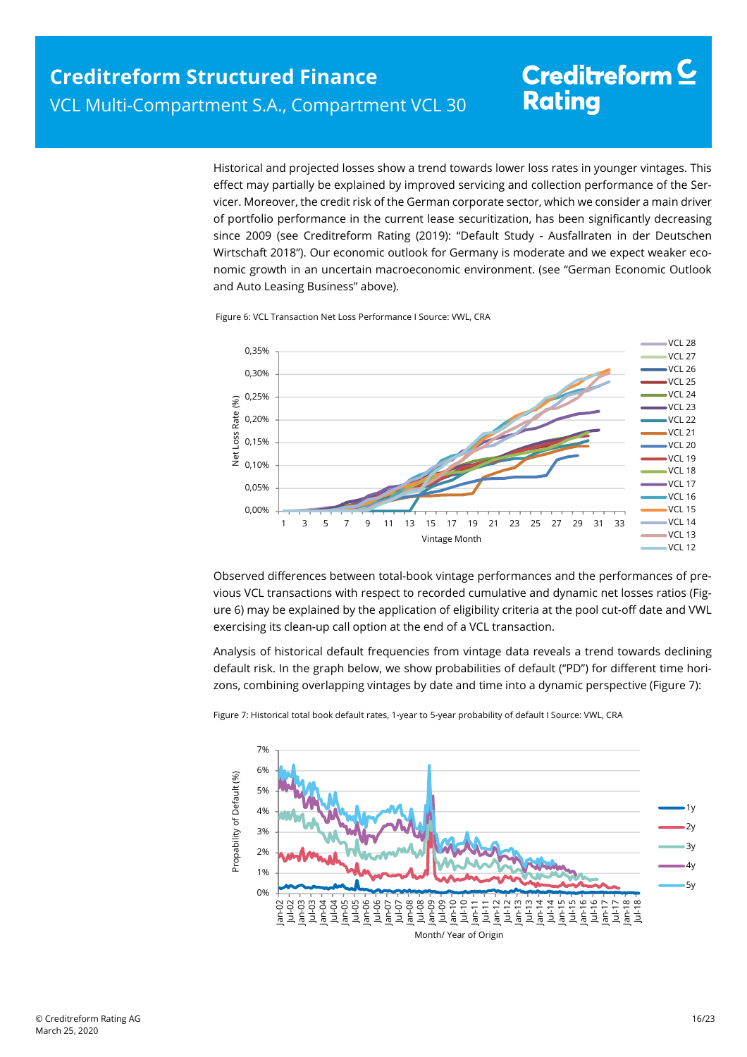Historical and projected losses show a trend towards lower loss rates in younger vintages. This effect may partially be explained by improved servicing and collection performance of the Ser-

vicer. Moreover, the credit risk of the German corporate sector, which we consider a main driver of portfolio performance in the current lease securitization, has been significantly decreasing since 2009 (see Creditreform Rating (2019): "Default Study - Ausfallraten in der Deutschen Wirtschaft 2018"). Our economic outlook for Germany is moderate and we expect weaker economic growth in an uncertain macroeconomic environment. (see "German Economic Outlook and Auto Leasing Business" above).

Figure 6: VCL Transaction Net Loss Performance I Source: VWL, CRA



Observed differences between total-book vintage performances and the performances of previous VCL transactions with respect to recorded cumulative and dynamic net losses ratios (Figure 6) may be explained by the application of eligibility criteria at the pool cut-off date and VWL exercising its clean-up call option at the end of a VCL transaction.

Analysis of historical default frequencies from vintage data reveals a trend towards declining default risk. In the graph below, we show probabilities of default ("PD") for different time horizons, combining overlapping vintages by date and time into a dynamic perspective (Figure 7):



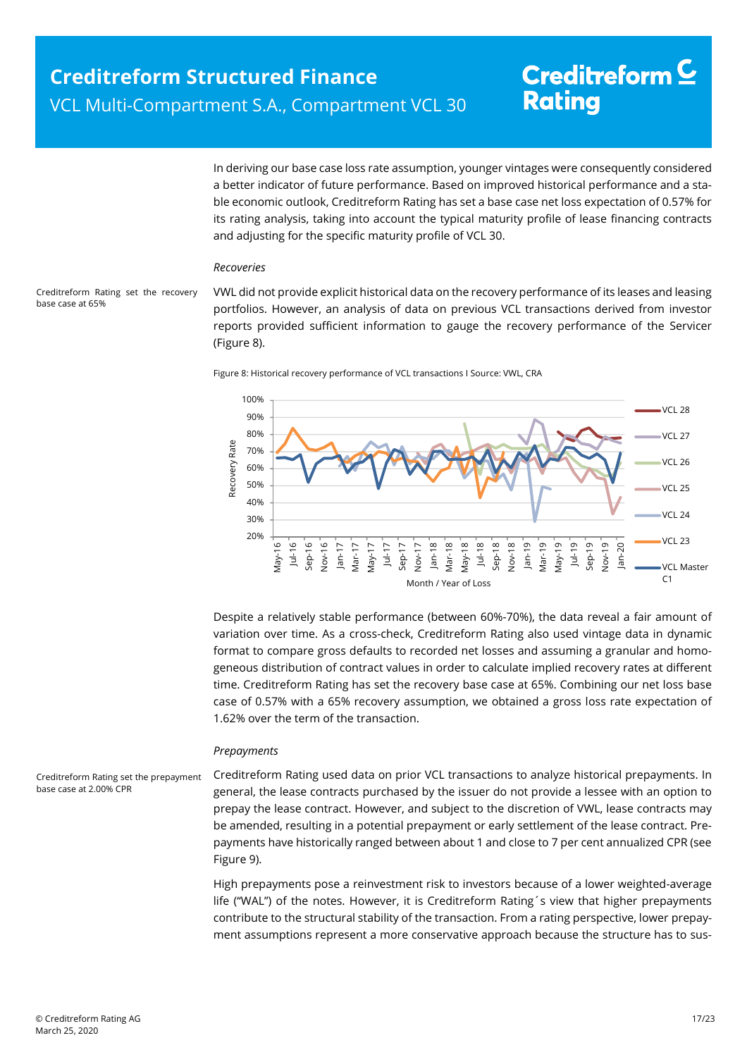In deriving our base case loss rate assumption, younger vintages were consequently considered a better indicator of future performance. Based on improved historical performance and a stable economic outlook, Creditreform Rating has set a base case net loss expectation of 0.57% for its rating analysis, taking into account the typical maturity profile of lease financing contracts and adjusting for the specific maturity profile of VCL 30.

#### *Recoveries*

Creditreform Rating set the recovery base case at 65%

VWL did not provide explicit historical data on the recovery performance of its leases and leasing portfolios. However, an analysis of data on previous VCL transactions derived from investor reports provided sufficient information to gauge the recovery performance of the Servicer (Figure 8).





Despite a relatively stable performance (between 60%-70%), the data reveal a fair amount of variation over time. As a cross-check, Creditreform Rating also used vintage data in dynamic format to compare gross defaults to recorded net losses and assuming a granular and homogeneous distribution of contract values in order to calculate implied recovery rates at different time. Creditreform Rating has set the recovery base case at 65%. Combining our net loss base case of 0.57% with a 65% recovery assumption, we obtained a gross loss rate expectation of 1.62% over the term of the transaction.

#### *Prepayments*

Creditreform Rating set the prepayment base case at 2.00% CPR

Creditreform Rating used data on prior VCL transactions to analyze historical prepayments. In general, the lease contracts purchased by the issuer do not provide a lessee with an option to prepay the lease contract. However, and subject to the discretion of VWL, lease contracts may be amended, resulting in a potential prepayment or early settlement of the lease contract. Prepayments have historically ranged between about 1 and close to 7 per cent annualized CPR (see Figure 9).

High prepayments pose a reinvestment risk to investors because of a lower weighted-average life ("WAL") of the notes. However, it is Creditreform Rating´s view that higher prepayments contribute to the structural stability of the transaction. From a rating perspective, lower prepayment assumptions represent a more conservative approach because the structure has to sus-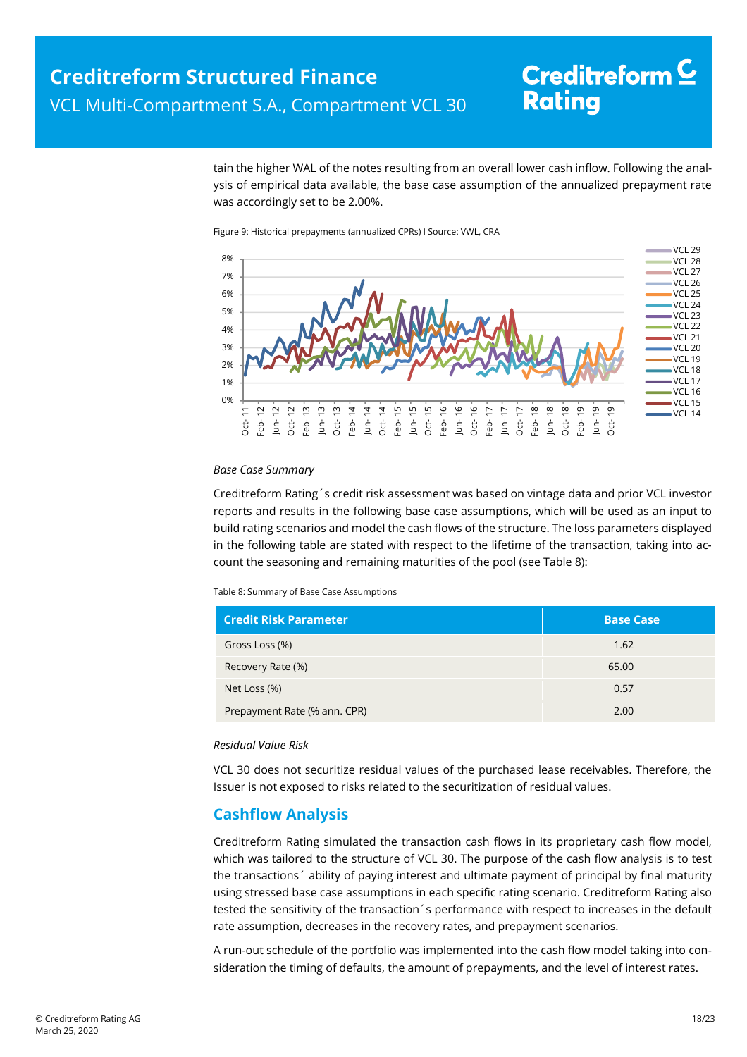tain the higher WAL of the notes resulting from an overall lower cash inflow. Following the analysis of empirical data available, the base case assumption of the annualized prepayment rate was accordingly set to be 2.00%.

Figure 9: Historical prepayments (annualized CPRs) I Source: VWL, CRA



#### *Base Case Summary*

Creditreform Rating´s credit risk assessment was based on vintage data and prior VCL investor reports and results in the following base case assumptions, which will be used as an input to build rating scenarios and model the cash flows of the structure. The loss parameters displayed in the following table are stated with respect to the lifetime of the transaction, taking into account the seasoning and remaining maturities of the pool (see Table 8):

Table 8: Summary of Base Case Assumptions

| <b>Credit Risk Parameter</b> | <b>Base Case</b> |
|------------------------------|------------------|
| Gross Loss (%)               | 1.62             |
| Recovery Rate (%)            | 65.00            |
| Net Loss (%)                 | 0.57             |
| Prepayment Rate (% ann. CPR) | 2.00             |

#### *Residual Value Risk*

VCL 30 does not securitize residual values of the purchased lease receivables. Therefore, the Issuer is not exposed to risks related to the securitization of residual values.

## **Cashflow Analysis**

Creditreform Rating simulated the transaction cash flows in its proprietary cash flow model, which was tailored to the structure of VCL 30. The purpose of the cash flow analysis is to test the transactions´ ability of paying interest and ultimate payment of principal by final maturity using stressed base case assumptions in each specific rating scenario. Creditreform Rating also tested the sensitivity of the transaction´s performance with respect to increases in the default rate assumption, decreases in the recovery rates, and prepayment scenarios.

A run-out schedule of the portfolio was implemented into the cash flow model taking into consideration the timing of defaults, the amount of prepayments, and the level of interest rates.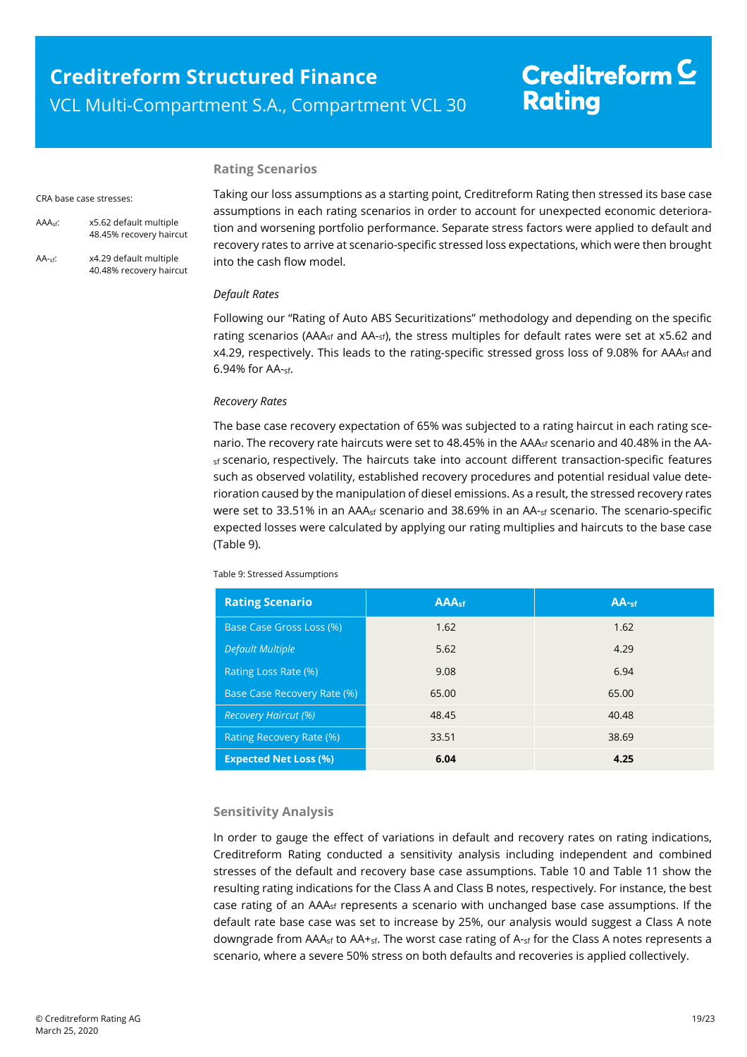#### **Rating Scenarios**

#### CRA base case stresses:

- AAAsf: x5.62 default multiple 48.45% recovery haircut
- AA-sf: x4.29 default multiple 40.48% recovery haircut

Taking our loss assumptions as a starting point, Creditreform Rating then stressed its base case assumptions in each rating scenarios in order to account for unexpected economic deterioration and worsening portfolio performance. Separate stress factors were applied to default and recovery rates to arrive at scenario-specific stressed loss expectations, which were then brought into the cash flow model.

#### *Default Rates*

Following our "Rating of Auto ABS Securitizations" methodology and depending on the specific rating scenarios (AAA<sub>sf</sub> and AA-sf), the stress multiples for default rates were set at x5.62 and  $x4.29$ , respectively. This leads to the rating-specific stressed gross loss of 9.08% for AAA<sub>sf</sub> and 6.94% for AA-sf.

#### *Recovery Rates*

The base case recovery expectation of 65% was subjected to a rating haircut in each rating scenario. The recovery rate haircuts were set to 48.45% in the AAA<sub>sf</sub> scenario and 40.48% in the AAsf scenario, respectively. The haircuts take into account different transaction-specific features such as observed volatility, established recovery procedures and potential residual value deterioration caused by the manipulation of diesel emissions. As a result, the stressed recovery rates were set to 33.51% in an AAA<sub>sf</sub> scenario and 38.69% in an AA-<sub>sf</sub> scenario. The scenario-specific expected losses were calculated by applying our rating multiplies and haircuts to the base case (Table 9).

Table 9: Stressed Assumptions

| <b>Rating Scenario</b>             | AAA <sub>sf</sub> | AA <sub>sf</sub> |
|------------------------------------|-------------------|------------------|
| Base Case Gross Loss (%)           | 1.62              | 1.62             |
| <b>Default Multiple</b>            | 5.62              | 4.29             |
| <b>Rating Loss Rate (%)</b>        | 9.08              | 6.94             |
| <b>Base Case Recovery Rate (%)</b> | 65.00             | 65.00            |
| <b>Recovery Haircut (%)</b>        | 48.45             | 40.48            |
| Rating Recovery Rate (%)           | 33.51             | 38.69            |
| <b>Expected Net Loss (%)</b>       | 6.04              | 4.25             |

#### **Sensitivity Analysis**

In order to gauge the effect of variations in default and recovery rates on rating indications, Creditreform Rating conducted a sensitivity analysis including independent and combined stresses of the default and recovery base case assumptions. Table 10 and Table 11 show the resulting rating indications for the Class A and Class B notes, respectively. For instance, the best case rating of an AAAsf represents a scenario with unchanged base case assumptions. If the default rate base case was set to increase by 25%, our analysis would suggest a Class A note downgrade from AAA<sub>sf</sub> to AA+<sub>sf</sub>. The worst case rating of A-<sub>sf</sub> for the Class A notes represents a scenario, where a severe 50% stress on both defaults and recoveries is applied collectively.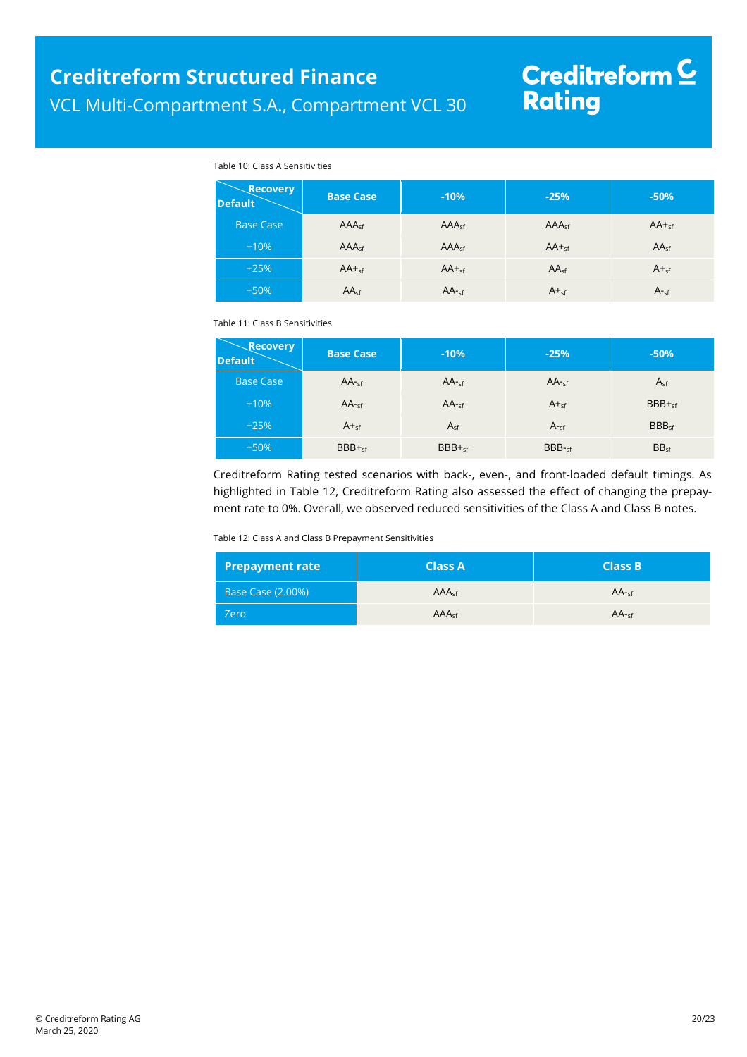#### Table 10: Class A Sensitivities

| <b>Recovery</b><br><b>Default</b> | <b>Base Case</b>  | $-10%$            | $-25%$            | $-50%$           |
|-----------------------------------|-------------------|-------------------|-------------------|------------------|
| <b>Base Case</b>                  | AAA <sub>cf</sub> | AAA <sub>sf</sub> | AAA <sub>cf</sub> | $AA +_{sf}$      |
| $+10%$                            | AAA <sub>sf</sub> | AAA <sub>sf</sub> | $AA +sf$          | AA <sub>sf</sub> |
| $+25%$                            | $AA +_{sf}$       | $AA +_{sf}$       | $AA_{sf}$         | $A +sf$          |
| $+50%$                            | AA <sub>sf</sub>  | $AA_{\text{sf}}$  | $A +sf$           | A <sub>sf</sub>  |

Table 11: Class B Sensitivities

| <b>Recovery</b><br><b>Default</b> | <b>Base Case</b> | $-10%$    | $-25%$          | $-50%$            |
|-----------------------------------|------------------|-----------|-----------------|-------------------|
| <b>Base Case</b>                  | $AA$ -sf         | $AA$ -sf  | $AA$ -sf        | $A_{sf}$          |
| $+10%$                            | $AA$ -sf         | $AA$ -sf  | $A +sf$         | $BBB +sf$         |
| $+25%$                            | $A_{\text{sf}}$  | $A_{sf}$  | $A_{\text{sf}}$ | BBB <sub>cf</sub> |
| $+50%$                            | $BBB +sf$        | $BBB +sf$ | $BBB-sf$        | BB <sub>sf</sub>  |

Creditreform Rating tested scenarios with back-, even-, and front-loaded default timings. As highlighted in Table 12, Creditreform Rating also assessed the effect of changing the prepayment rate to 0%. Overall, we observed reduced sensitivities of the Class A and Class B notes.

Table 12: Class A and Class B Prepayment Sensitivities

| <b>Prepayment rate</b> | <b>Class A</b>    | <b>Class B</b> |
|------------------------|-------------------|----------------|
| Base Case (2.00%)      | AAA <sub>sf</sub> | $AA -cf$       |
| <b>Zero</b>            | AAA <sub>sf</sub> | $AA -cf$       |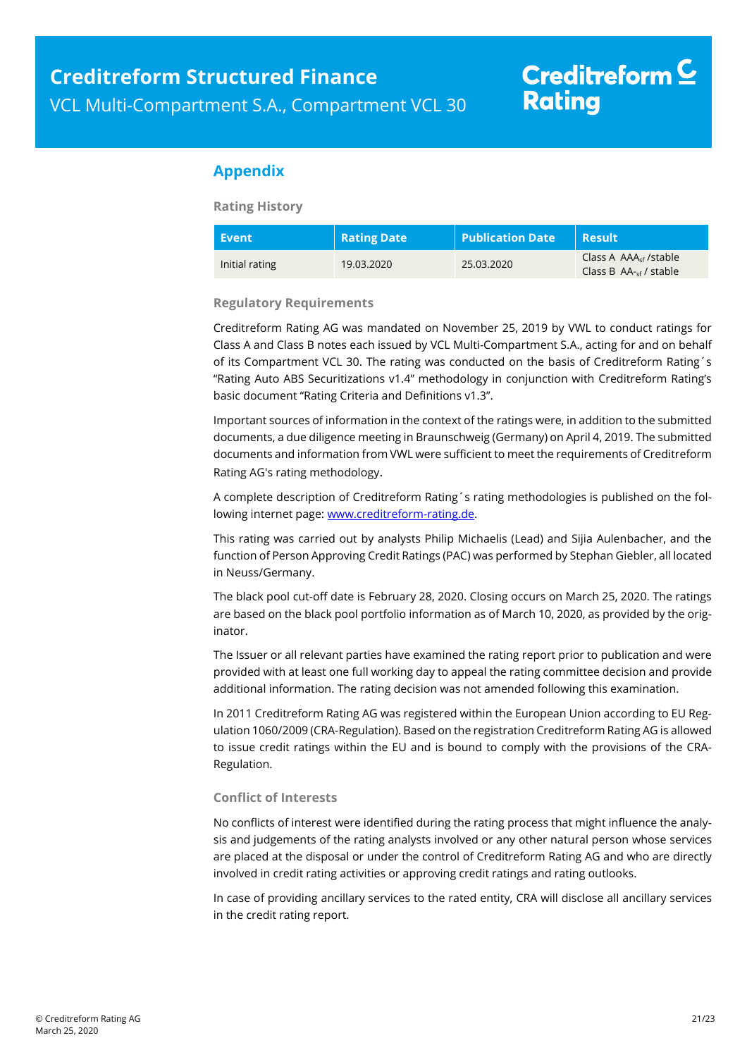## **Appendix**

**Rating History** 

| Event          | <b>Rating Date</b> | <b>Publication Date</b> | <b>Result</b>                                                       |
|----------------|--------------------|-------------------------|---------------------------------------------------------------------|
| Initial rating | 19.03.2020         | 25.03.2020              | Class A $AAA_{\rm cf}$ /stable<br>Class B $AA_{\text{cf}}$ / stable |

#### **Regulatory Requirements**

Creditreform Rating AG was mandated on November 25, 2019 by VWL to conduct ratings for Class A and Class B notes each issued by VCL Multi-Compartment S.A., acting for and on behalf of its Compartment VCL 30. The rating was conducted on the basis of Creditreform Rating´s "Rating Auto ABS Securitizations v1.4" methodology in conjunction with Creditreform Rating's basic document "Rating Criteria and Definitions v1.3".

Important sources of information in the context of the ratings were, in addition to the submitted documents, a due diligence meeting in Braunschweig (Germany) on April 4, 2019. The submitted documents and information from VWL were sufficient to meet the requirements of Creditreform Rating AG's rating methodology.

A complete description of Creditreform Rating´s rating methodologies is published on the following internet page: www.creditreform-rating.de.

This rating was carried out by analysts Philip Michaelis (Lead) and Sijia Aulenbacher, and the function of Person Approving Credit Ratings (PAC) was performed by Stephan Giebler, all located in Neuss/Germany.

The black pool cut-off date is February 28, 2020. Closing occurs on March 25, 2020. The ratings are based on the black pool portfolio information as of March 10, 2020, as provided by the originator.

The Issuer or all relevant parties have examined the rating report prior to publication and were provided with at least one full working day to appeal the rating committee decision and provide additional information. The rating decision was not amended following this examination.

In 2011 Creditreform Rating AG was registered within the European Union according to EU Regulation 1060/2009 (CRA-Regulation). Based on the registration Creditreform Rating AG is allowed to issue credit ratings within the EU and is bound to comply with the provisions of the CRA-Regulation.

#### **Conflict of Interests**

No conflicts of interest were identified during the rating process that might influence the analysis and judgements of the rating analysts involved or any other natural person whose services are placed at the disposal or under the control of Creditreform Rating AG and who are directly involved in credit rating activities or approving credit ratings and rating outlooks.

In case of providing ancillary services to the rated entity, CRA will disclose all ancillary services in the credit rating report.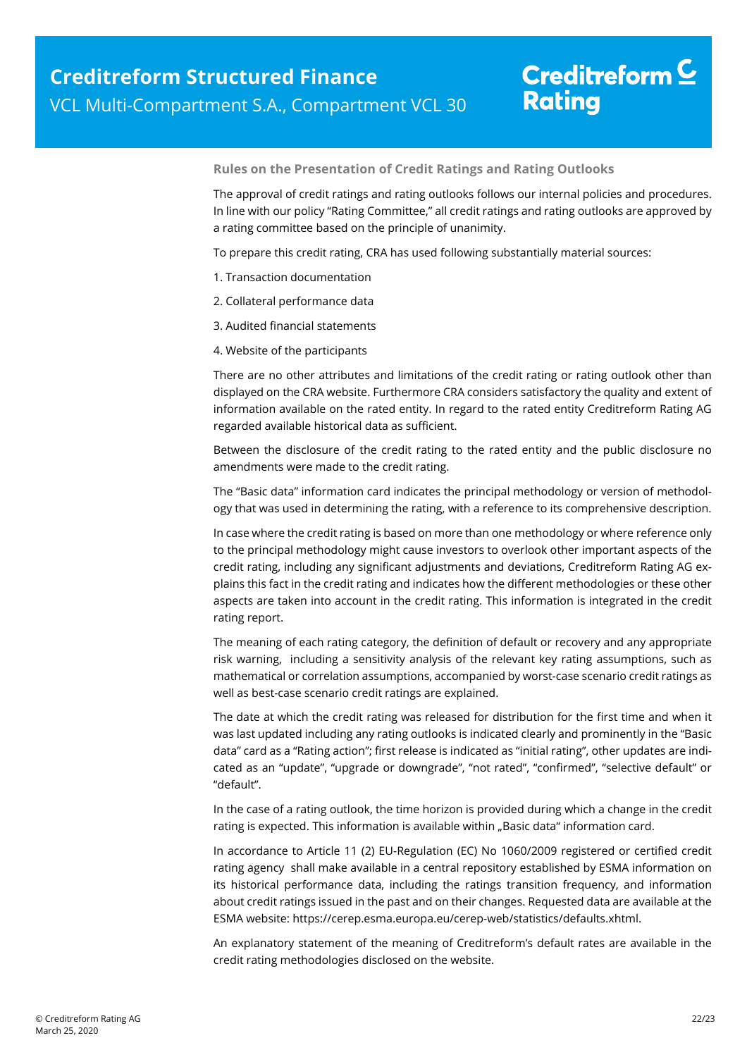**Rules on the Presentation of Credit Ratings and Rating Outlooks** 

The approval of credit ratings and rating outlooks follows our internal policies and procedures. In line with our policy "Rating Committee," all credit ratings and rating outlooks are approved by a rating committee based on the principle of unanimity.

To prepare this credit rating, CRA has used following substantially material sources:

- 1. Transaction documentation
- 2. Collateral performance data
- 3. Audited financial statements
- 4. Website of the participants

There are no other attributes and limitations of the credit rating or rating outlook other than displayed on the CRA website. Furthermore CRA considers satisfactory the quality and extent of information available on the rated entity. In regard to the rated entity Creditreform Rating AG regarded available historical data as sufficient.

Between the disclosure of the credit rating to the rated entity and the public disclosure no amendments were made to the credit rating.

The "Basic data" information card indicates the principal methodology or version of methodology that was used in determining the rating, with a reference to its comprehensive description.

In case where the credit rating is based on more than one methodology or where reference only to the principal methodology might cause investors to overlook other important aspects of the credit rating, including any significant adjustments and deviations, Creditreform Rating AG explains this fact in the credit rating and indicates how the different methodologies or these other aspects are taken into account in the credit rating. This information is integrated in the credit rating report.

The meaning of each rating category, the definition of default or recovery and any appropriate risk warning, including a sensitivity analysis of the relevant key rating assumptions, such as mathematical or correlation assumptions, accompanied by worst-case scenario credit ratings as well as best-case scenario credit ratings are explained.

The date at which the credit rating was released for distribution for the first time and when it was last updated including any rating outlooks is indicated clearly and prominently in the "Basic data" card as a "Rating action"; first release is indicated as "initial rating", other updates are indicated as an "update", "upgrade or downgrade", "not rated", "confirmed", "selective default" or "default".

In the case of a rating outlook, the time horizon is provided during which a change in the credit rating is expected. This information is available within "Basic data" information card.

In accordance to Article 11 (2) EU-Regulation (EC) No 1060/2009 registered or certified credit rating agency shall make available in a central repository established by ESMA information on its historical performance data, including the ratings transition frequency, and information about credit ratings issued in the past and on their changes. Requested data are available at the ESMA website: https://cerep.esma.europa.eu/cerep-web/statistics/defaults.xhtml.

An explanatory statement of the meaning of Creditreform's default rates are available in the credit rating methodologies disclosed on the website.